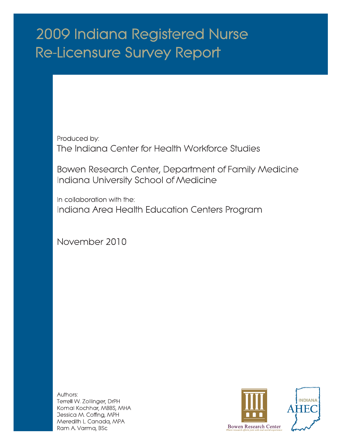# 2009 Indiana Registered Nurse **Re-Licensure Survey Report**

Produced by: The Indiana Center for Health Workforce Studies

Bowen Research Center, Department of Family Medicine Indiana University School of Medicine

In collaboration with the: Indiana Area Health Education Centers Program

November 2010

Authors: Terrell W. Zollinger, DrPH Komal Kochhar, MBBS, MHA Jessica M. Coffing, MPH Meredith L. Canada, MPA Ram A Varma, BSc

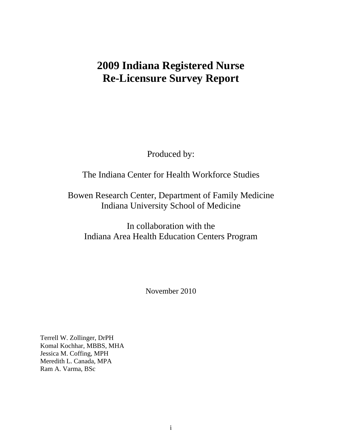## **2009 Indiana Registered Nurse Re-Licensure Survey Report**

Produced by:

## The Indiana Center for Health Workforce Studies

Bowen Research Center, Department of Family Medicine Indiana University School of Medicine

In collaboration with the Indiana Area Health Education Centers Program

November 2010

Terrell W. Zollinger, DrPH Komal Kochhar, MBBS, MHA Jessica M. Coffing, MPH Meredith L. Canada, MPA Ram A. Varma, BSc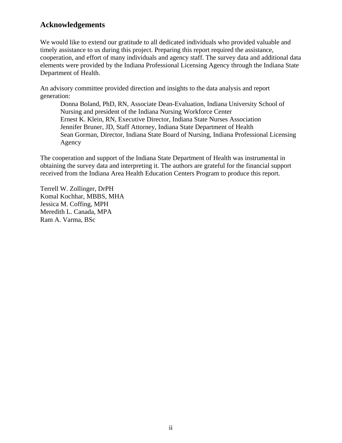## **Acknowledgements**

We would like to extend our gratitude to all dedicated individuals who provided valuable and timely assistance to us during this project. Preparing this report required the assistance, cooperation, and effort of many individuals and agency staff. The survey data and additional data elements were provided by the Indiana Professional Licensing Agency through the Indiana State Department of Health.

An advisory committee provided direction and insights to the data analysis and report generation:

Donna Boland, PhD, RN, Associate Dean-Evaluation, Indiana University School of Nursing and president of the Indiana Nursing Workforce Center Ernest K. Klein, RN, Executive Director, Indiana State Nurses Association Jennifer Bruner, JD, Staff Attorney, Indiana State Department of Health Sean Gorman, Director, Indiana State Board of Nursing, Indiana Professional Licensing Agency

The cooperation and support of the Indiana State Department of Health was instrumental in obtaining the survey data and interpreting it. The authors are grateful for the financial support received from the Indiana Area Health Education Centers Program to produce this report.

Terrell W. Zollinger, DrPH Komal Kochhar, MBBS, MHA Jessica M. Coffing, MPH Meredith L. Canada, MPA Ram A. Varma, BSc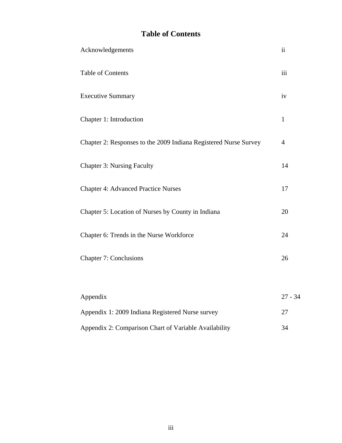## **Table of Contents**

| Acknowledgements                                                 | $\ddot{\rm n}$ |
|------------------------------------------------------------------|----------------|
| <b>Table of Contents</b>                                         | iii            |
| <b>Executive Summary</b>                                         | iv             |
| Chapter 1: Introduction                                          | $\mathbf{1}$   |
| Chapter 2: Responses to the 2009 Indiana Registered Nurse Survey | $\overline{4}$ |
| <b>Chapter 3: Nursing Faculty</b>                                | 14             |
| <b>Chapter 4: Advanced Practice Nurses</b>                       | 17             |
| Chapter 5: Location of Nurses by County in Indiana               | 20             |
| Chapter 6: Trends in the Nurse Workforce                         | 24             |
| <b>Chapter 7: Conclusions</b>                                    | 26             |
|                                                                  |                |
| Appendix                                                         | $27 - 34$      |
| Appendix 1: 2009 Indiana Registered Nurse survey                 | 27             |
| Appendix 2: Comparison Chart of Variable Availability            | 34             |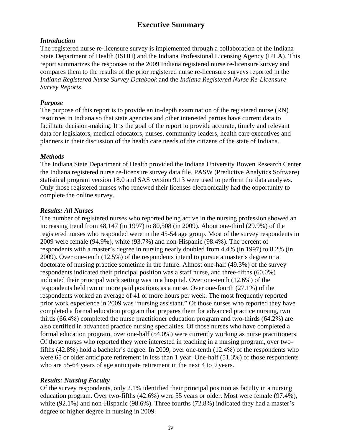## **Executive Summary**

#### *Introduction*

The registered nurse re-licensure survey is implemented through a collaboration of the Indiana State Department of Health (ISDH) and the Indiana Professional Licensing Agency (IPLA). This report summarizes the responses to the 2009 Indiana registered nurse re-licensure survey and compares them to the results of the prior registered nurse re-licensure surveys reported in the *Indiana Registered Nurse Survey Databook* and the *Indiana Registered Nurse Re-Licensure Survey Reports*.

#### *Purpose*

The purpose of this report is to provide an in-depth examination of the registered nurse (RN) resources in Indiana so that state agencies and other interested parties have current data to facilitate decision-making. It is the goal of the report to provide accurate, timely and relevant data for legislators, medical educators, nurses, community leaders, health care executives and planners in their discussion of the health care needs of the citizens of the state of Indiana.

#### *Methods*

The Indiana State Department of Health provided the Indiana University Bowen Research Center the Indiana registered nurse re-licensure survey data file. PASW (Predictive Analytics Software) statistical program version 18.0 and SAS version 9.13 were used to perform the data analyses. Only those registered nurses who renewed their licenses electronically had the opportunity to complete the online survey.

#### *Results: All Nurses*

The number of registered nurses who reported being active in the nursing profession showed an increasing trend from 48,147 (in 1997) to 80,508 (in 2009). About one-third (29.9%) of the registered nurses who responded were in the 45-54 age group. Most of the survey respondents in 2009 were female (94.9%), white (93.7%) and non-Hispanic (98.4%). The percent of respondents with a master's degree in nursing nearly doubled from 4.4% (in 1997) to 8.2% (in 2009). Over one-tenth (12.5%) of the respondents intend to pursue a master's degree or a doctorate of nursing practice sometime in the future. Almost one-half (49.3%) of the survey respondents indicated their principal position was a staff nurse, and three-fifths (60.0%) indicated their principal work setting was in a hospital. Over one-tenth (12.6%) of the respondents held two or more paid positions as a nurse. Over one-fourth (27.1%) of the respondents worked an average of 41 or more hours per week. The most frequently reported prior work experience in 2009 was "nursing assistant." Of those nurses who reported they have completed a formal education program that prepares them for advanced practice nursing, two thirds (66.4%) completed the nurse practitioner education program and two-thirds (64.2%) are also certified in advanced practice nursing specialties. Of those nurses who have completed a formal education program, over one-half (54.0%) were currently working as nurse practitioners. Of those nurses who reported they were interested in teaching in a nursing program, over twofifths (42.8%) hold a bachelor's degree. In 2009, over one-tenth (12.4%) of the respondents who were 65 or older anticipate retirement in less than 1 year. One-half (51.3%) of those respondents who are 55-64 years of age anticipate retirement in the next 4 to 9 years.

#### *Results: Nursing Faculty*

Of the survey respondents, only 2.1% identified their principal position as faculty in a nursing education program. Over two-fifths (42.6%) were 55 years or older. Most were female (97.4%), white (92.1%) and non-Hispanic (98.6%). Three fourths (72.8%) indicated they had a master's degree or higher degree in nursing in 2009.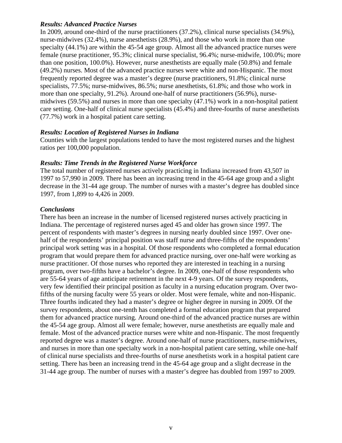#### *Results: Advanced Practice Nurses*

In 2009, around one-third of the nurse practitioners (37.2%), clinical nurse specialists (34.9%), nurse-midwives (32.4%), nurse anesthetists (28.9%), and those who work in more than one specialty (44.1%) are within the 45-54 age group. Almost all the advanced practice nurses were female (nurse practitioner, 95.3%; clinical nurse specialist, 96.4%; nurse-midwife, 100.0%; more than one position, 100.0%). However, nurse anesthetists are equally male (50.8%) and female (49.2%) nurses. Most of the advanced practice nurses were white and non-Hispanic. The most frequently reported degree was a master's degree (nurse practitioners, 91.8%; clinical nurse specialists, 77.5%; nurse-midwives, 86.5%; nurse anesthetists, 61.8%; and those who work in more than one specialty, 91.2%). Around one-half of nurse practitioners (56.9%), nursemidwives (59.5%) and nurses in more than one specialty (47.1%) work in a non-hospital patient care setting. One-half of clinical nurse specialists (45.4%) and three-fourths of nurse anesthetists (77.7%) work in a hospital patient care setting.

#### *Results: Location of Registered Nurses in Indiana*

Counties with the largest populations tended to have the most registered nurses and the highest ratios per 100,000 population.

#### *Results: Time Trends in the Registered Nurse Workforce*

The total number of registered nurses actively practicing in Indiana increased from 43,507 in 1997 to 57,990 in 2009. There has been an increasing trend in the 45-64 age group and a slight decrease in the 31-44 age group. The number of nurses with a master's degree has doubled since 1997, from 1,899 to 4,426 in 2009.

#### *Conclusions*

There has been an increase in the number of licensed registered nurses actively practicing in Indiana. The percentage of registered nurses aged 45 and older has grown since 1997. The percent of respondents with master's degrees in nursing nearly doubled since 1997. Over onehalf of the respondents' principal position was staff nurse and three-fifths of the respondents' principal work setting was in a hospital. Of those respondents who completed a formal education program that would prepare them for advanced practice nursing, over one-half were working as nurse practitioner. Of those nurses who reported they are interested in teaching in a nursing program, over two-fifths have a bachelor's degree. In 2009, one-half of those respondents who are 55-64 years of age anticipate retirement in the next 4-9 years. Of the survey respondents, very few identified their principal position as faculty in a nursing education program. Over twofifths of the nursing faculty were 55 years or older. Most were female, white and non-Hispanic. Three fourths indicated they had a master's degree or higher degree in nursing in 2009. Of the survey respondents, about one-tenth has completed a formal education program that prepared them for advanced practice nursing. Around one-third of the advanced practice nurses are within the 45-54 age group. Almost all were female; however, nurse anesthetists are equally male and female. Most of the advanced practice nurses were white and non-Hispanic. The most frequently reported degree was a master's degree. Around one-half of nurse practitioners, nurse-midwives, and nurses in more than one specialty work in a non-hospital patient care setting, while one-half of clinical nurse specialists and three-fourths of nurse anesthetists work in a hospital patient care setting. There has been an increasing trend in the 45-64 age group and a slight decrease in the 31-44 age group. The number of nurses with a master's degree has doubled from 1997 to 2009.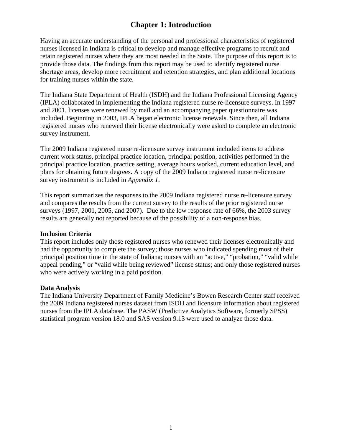## **Chapter 1: Introduction**

Having an accurate understanding of the personal and professional characteristics of registered nurses licensed in Indiana is critical to develop and manage effective programs to recruit and retain registered nurses where they are most needed in the State. The purpose of this report is to provide those data. The findings from this report may be used to identify registered nurse shortage areas, develop more recruitment and retention strategies, and plan additional locations for training nurses within the state.

The Indiana State Department of Health (ISDH) and the Indiana Professional Licensing Agency (IPLA) collaborated in implementing the Indiana registered nurse re-licensure surveys. In 1997 and 2001, licenses were renewed by mail and an accompanying paper questionnaire was included. Beginning in 2003, IPLA began electronic license renewals. Since then, all Indiana registered nurses who renewed their license electronically were asked to complete an electronic survey instrument.

The 2009 Indiana registered nurse re-licensure survey instrument included items to address current work status, principal practice location, principal position, activities performed in the principal practice location, practice setting, average hours worked, current education level, and plans for obtaining future degrees. A copy of the 2009 Indiana registered nurse re-licensure survey instrument is included in *Appendix 1*.

This report summarizes the responses to the 2009 Indiana registered nurse re-licensure survey and compares the results from the current survey to the results of the prior registered nurse surveys (1997, 2001, 2005, and 2007). Due to the low response rate of 66%, the 2003 survey results are generally not reported because of the possibility of a non-response bias.

#### **Inclusion Criteria**

This report includes only those registered nurses who renewed their licenses electronically and had the opportunity to complete the survey; those nurses who indicated spending most of their principal position time in the state of Indiana; nurses with an "active," "probation," "valid while appeal pending," or "valid while being reviewed" license status; and only those registered nurses who were actively working in a paid position.

#### **Data Analysis**

The Indiana University Department of Family Medicine's Bowen Research Center staff received the 2009 Indiana registered nurses dataset from ISDH and licensure information about registered nurses from the IPLA database. The PASW (Predictive Analytics Software, formerly SPSS) statistical program version 18.0 and SAS version 9.13 were used to analyze those data.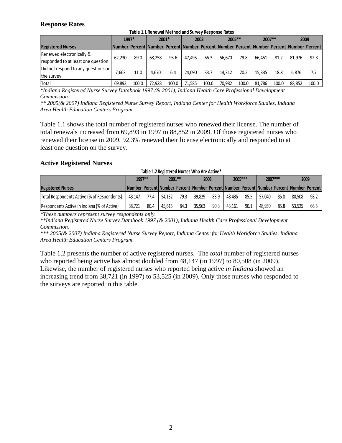#### **Response Rates**

|                                     | Table 1.1 Reliewal Ivietilou allu Sulvey Response Rates |       |         |       |        |       |         |       |        |       |                                                                                            |       |
|-------------------------------------|---------------------------------------------------------|-------|---------|-------|--------|-------|---------|-------|--------|-------|--------------------------------------------------------------------------------------------|-------|
|                                     |                                                         | 1997* | $2001*$ |       | 2003   |       | 2005 ** |       | 2007** |       | 2009                                                                                       |       |
| <b>Registered Nurses</b>            |                                                         |       |         |       |        |       |         |       |        |       | lNumber Percent Number Percent Number Percent Number Percent Number Percent Number Percent |       |
| Renewed electronically &            | 62.230                                                  | 89.0  | 68.258  | 93.6  | 47.495 | 66.3  | 56,670  | 79.8  | 66.451 | 81.2  | 81.976                                                                                     | 92.3  |
| responded to at least one question  |                                                         |       |         |       |        |       |         |       |        |       |                                                                                            |       |
| Did not respond to any questions on |                                                         |       |         |       |        |       |         |       |        |       |                                                                                            |       |
| the survey                          | 7.663                                                   | 11.0  | 4.670   | 6.4   | 24.090 | 33.7  | 14.312  | 20.2  | 15.335 | 18.8  | 6.876                                                                                      | 7.7   |
| Total                               | 69.893                                                  | 100.0 | 72.928  | 100.0 | 71.585 | 100.0 | 70.982  | 100.0 | 81.786 | 100.0 | 88.852                                                                                     | 100.0 |

**Table 1.1 Renewal Method and Survey Response Rates**

*\*Indiana Registered Nurse Survey Databook 1997 (& 2001), Indiana Health Care Professional Development Commission.* 

*\*\* 2005(& 2007) Indiana Registered Nurse Survey Report, Indiana Center for Health Workforce Studies, Indiana Area Health Education Centers Program.* 

Table 1.1 shows the total number of registered nurses who renewed their license. The number of total renewals increased from 69,893 in 1997 to 88,852 in 2009. Of those registered nurses who renewed their license in 2009, 92.3% renewed their license electronically and responded to at least one question on the survey.

#### **Active Registered Nurses**

| Table 1.2 Registered Nurses Who Are Active* |  |
|---------------------------------------------|--|
|---------------------------------------------|--|

|                                             | 1997** |      | 2001 ** |      | 2003   |      | 2005 *** |      | 2007 ***                                                                                  |      | 2009   |      |
|---------------------------------------------|--------|------|---------|------|--------|------|----------|------|-------------------------------------------------------------------------------------------|------|--------|------|
| <b>Registered Nurses</b>                    |        |      |         |      |        |      |          |      | Number Percent Number Percent Number Percent Number Percent Number Percent Number Percent |      |        |      |
| Total Respondents Active (% of Respondents) | 48.147 | 77.4 | 54.132  | 79.3 | 39.829 | 83.9 | 48.435   | 85.5 | 57.040                                                                                    | 85.8 | 80.508 | 98.2 |
| Respondents Active in Indiana (% of Active) | 38.721 | 80.4 | 45.615  | 84.3 | 35.963 | 90.3 | 43.161   | 90.1 | 48.950                                                                                    | 85.8 | 53.525 | 66.5 |

*\*These numbers represent survey respondents only.* 

*\*\*Indiana Registered Nurse Survey Databook 1997 (& 2001), Indiana Health Care Professional Development Commission.* 

*\*\*\* 2005(& 2007) Indiana Registered Nurse Survey Report, Indiana Center for Health Workforce Studies, Indiana Area Health Education Centers Program.* 

Table 1.2 presents the number of active registered nurses. The *total* number of registered nurses who reported being active has almost doubled from 48,147 (in 1997) to 80,508 (in 2009). Likewise, the number of registered nurses who reported being active *in Indiana* showed an increasing trend from 38,721 (in 1997) to 53,525 (in 2009). Only those nurses who responded to the surveys are reported in this table.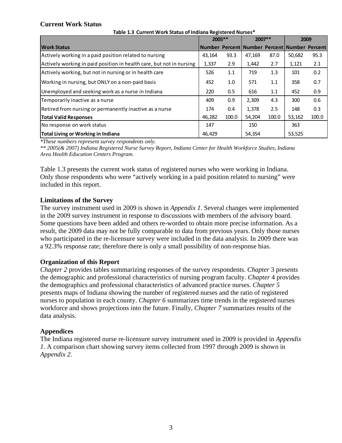#### **Current Work Status**

|                                                                      | 2005 ** |       | $2007**$ |       |                                              | 2009  |
|----------------------------------------------------------------------|---------|-------|----------|-------|----------------------------------------------|-------|
| <b>Work Status</b>                                                   |         |       |          |       | Number Percent Number Percent Number Percent |       |
| Actively working in a paid position related to nursing               | 43,164  | 93.3  | 47,169   | 87.0  | 50,682                                       | 95.3  |
| Actively working in paid position in health care, but not in nursing | 1,337   | 2.9   | 1,442    | 2.7   | 1,121                                        | 2.1   |
| Actively working, but not in nursing or in health care               | 526     | 1.1   | 719      | 1.3   | 101                                          | 0.2   |
| Working in nursing, but ONLY on a non-paid basis                     | 452     | 1.0   | 571      | 1.1   | 358                                          | 0.7   |
| Unemployed and seeking work as a nurse in Indiana                    | 220     | 0.5   | 616      | 1.1   | 452                                          | 0.9   |
| Temporarily inactive as a nurse                                      | 409     | 0.9   | 2,309    | 4.3   | 300                                          | 0.6   |
| Retired from nursing or permanently inactive as a nurse              | 174     | 0.4   | 1,378    | 2.5   | 148                                          | 0.3   |
| <b>Total Valid Responses</b>                                         | 46.282  | 100.0 | 54,204   | 100.0 | 53,162                                       | 100.0 |
| No response on work status                                           | 147     |       | 150      |       | 363                                          |       |
| Total Living or Working in Indiana                                   | 46.429  |       | 54,354   |       | 53,525                                       |       |

**Table 1.3 Current Work Status of Indiana Registered Nurses\***

*\*These numbers represent survey respondents only.* 

*\*\* 2005(& 2007) Indiana Registered Nurse Survey Report, Indiana Center for Health Workforce Studies, Indiana Area Health Education Centers Program.* 

Table 1.3 presents the current work status of registered nurses who were working in Indiana. Only those respondents who were "actively working in a paid position related to nursing" were included in this report.

#### **Limitations of the Survey**

The survey instrument used in 2009 is shown in *Appendix 1*. Several changes were implemented in the 2009 survey instrument in response to discussions with members of the advisory board. Some questions have been added and others re-worded to obtain more precise information. As a result, the 2009 data may not be fully comparable to data from previous years. Only those nurses who participated in the re-licensure survey were included in the data analysis. In 2009 there was a 92.3% response rate; therefore there is only a small possibility of non-response bias.

#### **Organization of this Report**

*Chapter 2* provides tables summarizing responses of the survey respondents. *Chapter* 3 presents the demographic and professional characteristics of nursing program faculty. *Chapter* 4 provides the demographics and professional characteristics of advanced practice nurses. *Chapter 5* presents maps of Indiana showing the number of registered nurses and the ratio of registered nurses to population in each county. *Chapter 6* summarizes time trends in the registered nurses workforce and shows projections into the future. Finally, *Chapter 7* summarizes results of the data analysis.

#### **Appendices**

The Indiana registered nurse re-licensure survey instrument used in 2009 is provided in *Appendix 1*. A comparison chart showing survey items collected from 1997 through 2009 is shown in *Appendix 2.*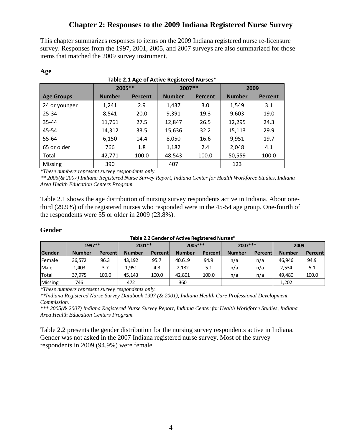## **Chapter 2: Responses to the 2009 Indiana Registered Nurse Survey**

This chapter summarizes responses to items on the 2009 Indiana registered nurse re-licensure survey. Responses from the 1997, 2001, 2005, and 2007 surveys are also summarized for those items that matched the 2009 survey instrument.

|                   |               | 2005 **        |               | $2007**$       | 2009          |                |  |
|-------------------|---------------|----------------|---------------|----------------|---------------|----------------|--|
| <b>Age Groups</b> | <b>Number</b> | <b>Percent</b> | <b>Number</b> | <b>Percent</b> | <b>Number</b> | <b>Percent</b> |  |
| 24 or younger     | 1,241         | 2.9            | 1,437         | 3.0            | 1,549         | 3.1            |  |
| 25-34             | 8,541         | 20.0           | 9,391         | 19.3           | 9,603         | 19.0           |  |
| 35-44             | 11,761        | 27.5           | 12,847        | 26.5           | 12,295        | 24.3           |  |
| 45-54             | 14,312        | 33.5           | 15,636        | 32.2           | 15,113        | 29.9           |  |
| 55-64             | 6,150         | 14.4           | 8,050         | 16.6           | 9,951         | 19.7           |  |
| 65 or older       | 766           | 1.8            | 1,182         | 2.4            | 2,048         | 4.1            |  |
| Total             | 42,771        | 100.0          | 48,543        | 100.0          | 50,559        | 100.0          |  |
| <b>Missing</b>    | 390           |                | 407           |                | 123           |                |  |

#### **Table 2.1 Age of Active Registered Nurses\***

*\*These numbers represent survey respondents only.* 

*\*\* 2005(& 2007) Indiana Registered Nurse Survey Report, Indiana Center for Health Workforce Studies, Indiana Area Health Education Centers Program.* 

Table 2.1 shows the age distribution of nursing survey respondents active in Indiana. About onethird (29.9%) of the registered nurses who responded were in the 45-54 age group. One-fourth of the respondents were 55 or older in 2009 (23.8%).

#### **Gender**

**Age** 

#### **Gender Number Percent Number Percent Number Percent Number Percent Number Percent** Female 36,572 96.3 43,192 95.7 40,619 94.9 n/a n/a 46,946 94.9 Male 1,403 3.7 1,951 4.3 2,182 5.1 n/a n/a 2,534 5.1 Total 37,975 100.0 45,143 100.0 42,801 100.0 n/a n/a 49,480 100.0 Missing 746 1,202 360 1,202 1,202 1,202 1,202 1,202 1,202 1,202 1,202 1,202 1,202 **2009 Table 2.2Gender of Active Registered Nurses\* 1997\*\* 2001\*\* 2005\*\*\* 2007\*\*\***

*\*These numbers represent survey respondents only.* 

*\*\*Indiana Registered Nurse Survey Databook 1997 (& 2001), Indiana Health Care Professional Development Commission.* 

*\*\*\* 2005(& 2007) Indiana Registered Nurse Survey Report, Indiana Center for Health Workforce Studies, Indiana Area Health Education Centers Program.* 

Table 2.2 presents the gender distribution for the nursing survey respondents active in Indiana. Gender was not asked in the 2007 Indiana registered nurse survey. Most of the survey respondents in 2009 (94.9%) were female.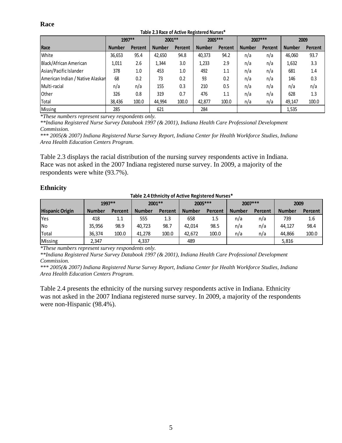#### **Race**

| TUDIC EIJ HUGC OF AGUVG HORIJIGTOU HUIJGJ |               |                |               |         |               |         |               |         |               |         |
|-------------------------------------------|---------------|----------------|---------------|---------|---------------|---------|---------------|---------|---------------|---------|
|                                           | 1997**        |                | 2001 **       |         | 2005 ***      |         | 2007 ***      |         | 2009          |         |
| Race                                      | <b>Number</b> | <b>Percent</b> | <b>Number</b> | Percent | <b>Number</b> | Percent | <b>Number</b> | Percent | <b>Number</b> | Percent |
| White                                     | 36,653        | 95.4           | 42,650        | 94.8    | 40,373        | 94.2    | n/a           | n/a     | 46,060        | 93.7    |
| Black/African American                    | 1,011         | 2.6            | 1,344         | 3.0     | 1,233         | 2.9     | n/a           | n/a     | 1,632         | 3.3     |
| Asian/Pacific Islander                    | 378           | 1.0            | 453           | 1.0     | 492           | 1.1     | n/a           | n/a     | 681           | 1.4     |
| American Indian / Native Alaskan          | 68            | 0.2            | 73            | 0.2     | 93            | 0.2     | n/a           | n/a     | 146           | 0.3     |
| Multi-racial                              | n/a           | n/a            | 155           | 0.3     | 210           | 0.5     | n/a           | n/a     | n/a           | n/a     |
| Other                                     | 326           | 0.8            | 319           | 0.7     | 476           | 1.1     | n/a           | n/a     | 628           | 1.3     |
| Total                                     | 38,436        | 100.0          | 44,994        | 100.0   | 42,877        | 100.0   | n/a           | n/a     | 49,147        | 100.0   |
| Missing                                   | 285           |                | 621           |         | 284           |         |               |         | 1,535         |         |

**Table 2.3 Race of Active Registered Nurses\***

*\*These numbers represent survey respondents only.* 

*\*\*Indiana Registered Nurse Survey Databook 1997 (& 2001), Indiana Health Care Professional Development Commission.* 

*\*\*\* 2005(& 2007) Indiana Registered Nurse Survey Report, Indiana Center for Health Workforce Studies, Indiana Area Health Education Centers Program.* 

Table 2.3 displays the racial distribution of the nursing survey respondents active in Indiana. Race was not asked in the 2007 Indiana registered nurse survey. In 2009, a majority of the respondents were white (93.7%).

#### **Ethnicity**

|                        | Table 2.4 Ethnicity of Active Registered Nurses* |         |               |         |               |          |               |          |               |         |  |
|------------------------|--------------------------------------------------|---------|---------------|---------|---------------|----------|---------------|----------|---------------|---------|--|
|                        | 1997 **                                          |         | 2001 **       |         |               | 2005 *** |               | 2007 *** | 2009          |         |  |
| <b>Hispanic Origin</b> | <b>Number</b>                                    | Percent | <b>Number</b> | Percent | <b>Number</b> | Percent  | <b>Number</b> | Percent  | <b>Number</b> | Percent |  |
| <b>IYes</b>            | 418                                              | 1.1     | 555           | 1.3     | 658           | 1.5      | n/a           | n/a      | 739           | 1.6     |  |
| <b>INo</b>             | 35.956                                           | 98.9    | 40.723        | 98.7    | 42.014        | 98.5     | n/a           | n/a      | 44.127        | 98.4    |  |
| Total                  | 36.374                                           | 100.0   | 41.278        | 100.0   | 42.672        | 100.0    | n/a           | n/a      | 44.866        | 100.0   |  |
| Missing                | 2,347                                            |         | 4,337         |         | 489           |          |               |          | 5,816         |         |  |

*\*These numbers represent survey respondents only.* 

*\*\*Indiana Registered Nurse Survey Databook 1997 (& 2001), Indiana Health Care Professional Development Commission.* 

*\*\*\* 2005(& 2007) Indiana Registered Nurse Survey Report, Indiana Center for Health Workforce Studies, Indiana Area Health Education Centers Program.* 

Table 2.4 presents the ethnicity of the nursing survey respondents active in Indiana. Ethnicity was not asked in the 2007 Indiana registered nurse survey. In 2009, a majority of the respondents were non-Hispanic (98.4%).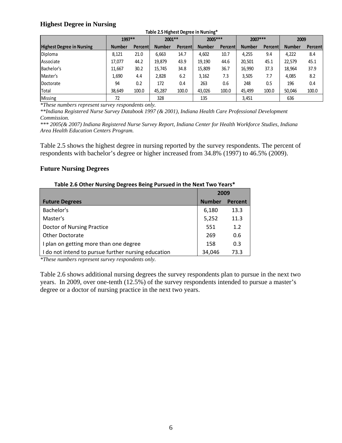#### **Highest Degree in Nursing**

| ີ<br>ີ                               | ີ             |                   |               |          |               |          |               |                |               |                |
|--------------------------------------|---------------|-------------------|---------------|----------|---------------|----------|---------------|----------------|---------------|----------------|
| Table 2.5 Highest Degree in Nursing* |               |                   |               |          |               |          |               |                |               |                |
|                                      |               | 1997**<br>2001 ** |               | 2005 *** |               | 2007 *** |               | 2009           |               |                |
| <b>Highest Degree in Nursing</b>     | <b>Number</b> | Percentl          | <b>Number</b> | Percent  | <b>Number</b> | Percent  | <b>Number</b> | <b>Percent</b> | <b>Number</b> | <b>Percent</b> |
| Diploma                              | 8.121         | 21.0              | 6,663         | 14.7     | 4,602         | 10.7     | 4,255         | 9.4            | 4.222         | 8.4            |
| Associate                            | 17,077        | 44.2              | 19,879        | 43.9     | 19,190        | 44.6     | 20,501        | 45.1           | 22,579        | 45.1           |
| Bachelor's                           | 11,667        | 30.2              | 15,745        | 34.8     | 15,809        | 36.7     | 16,990        | 37.3           | 18,964        | 37.9           |
| Master's                             | 1,690         | 4.4               | 2,828         | 6.2      | 3,162         | 7.3      | 3,505         | 7.7            | 4.085         | 8.2            |
| Doctorate                            | 94            | 0.2               | 172           | 0.4      | 263           | 0.6      | 248           | 0.5            | 196           | 0.4            |
| Total                                | 38.649        | 100.0             | 45,287        | 100.0    | 43.026        | 100.0    | 45.499        | 100.0          | 50,046        | 100.0          |
| <b>Missing</b>                       | 72            |                   | 328           |          | 135           |          | 3,451         |                | 636           |                |

*\*These numbers represent survey respondents only.* 

*\*\*Indiana Registered Nurse Survey Databook 1997 (& 2001), Indiana Health Care Professional Development Commission.* 

*\*\*\* 2005(& 2007) Indiana Registered Nurse Survey Report, Indiana Center for Health Workforce Studies, Indiana Area Health Education Centers Program.* 

Table 2.5 shows the highest degree in nursing reported by the survey respondents. The percent of respondents with bachelor's degree or higher increased from 34.8% (1997) to 46.5% (2009).

#### **Future Nursing Degrees**

| Table 2.0 Other Ivarsing Degrees Delig Fursued III the Next Two Tears<br>2009 |               |                |  |  |  |
|-------------------------------------------------------------------------------|---------------|----------------|--|--|--|
| <b>Future Degrees</b>                                                         | <b>Number</b> | <b>Percent</b> |  |  |  |
| Bachelor's                                                                    | 6,180         | 13.3           |  |  |  |
| Master's                                                                      | 5,252         | 11.3           |  |  |  |
| Doctor of Nursing Practice                                                    | 551           | 1.2            |  |  |  |
| <b>Other Doctorate</b>                                                        | 269           | 0.6            |  |  |  |
| I plan on getting more than one degree                                        | 158           | 0.3            |  |  |  |
| I do not intend to pursue further nursing education                           | 34.046        | 73.3           |  |  |  |

#### **Table 2.6 Other Nursing Degrees Being Pursued in the Next Two Years\***

*\*These numbers represent survey respondents only.*

Table 2.6 shows additional nursing degrees the survey respondents plan to pursue in the next two years. In 2009, over one-tenth (12.5%) of the survey respondents intended to pursue a master's degree or a doctor of nursing practice in the next two years.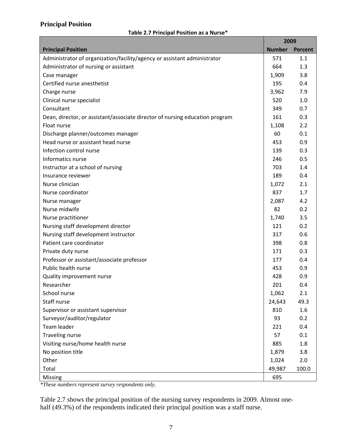#### **Principal Position**

#### **Table 2.7 Principal Position as a Nurse\***

|                                                                              | 2009          |         |
|------------------------------------------------------------------------------|---------------|---------|
| <b>Principal Position</b>                                                    | <b>Number</b> | Percent |
| Administrator of organization/facility/agency or assistant administrator     | 571           | 1.1     |
| Administrator of nursing or assistant                                        | 664           | 1.3     |
| Case manager                                                                 | 1,909         | 3.8     |
| Certified nurse anesthetist                                                  | 195           | 0.4     |
| Charge nurse                                                                 | 3,962         | 7.9     |
| Clinical nurse specialist                                                    | 520           | 1.0     |
| Consultant                                                                   | 349           | 0.7     |
| Dean, director, or assistant/associate director of nursing education program | 161           | 0.3     |
| Float nurse                                                                  | 1,108         | 2.2     |
| Discharge planner/outcomes manager                                           | 60            | 0.1     |
| Head nurse or assistant head nurse                                           | 453           | 0.9     |
| Infection control nurse                                                      | 139           | 0.3     |
| Informatics nurse                                                            | 246           | 0.5     |
| Instructor at a school of nursing                                            | 703           | 1.4     |
| Insurance reviewer                                                           | 189           | 0.4     |
| Nurse clinician                                                              | 1,072         | 2.1     |
| Nurse coordinator                                                            | 837           | 1.7     |
| Nurse manager                                                                | 2,087         | 4.2     |
| Nurse midwife                                                                | 82            | 0.2     |
| Nurse practitioner                                                           | 1,740         | 3.5     |
| Nursing staff development director                                           | 121           | 0.2     |
| Nursing staff development instructor                                         | 317           | 0.6     |
| Patient care coordinator                                                     | 398           | 0.8     |
| Private duty nurse                                                           | 171           | 0.3     |
| Professor or assistant/associate professor                                   | 177           | 0.4     |
| Public health nurse                                                          | 453           | 0.9     |
| Quality improvement nurse                                                    | 428           | 0.9     |
| Researcher                                                                   | 201           | 0.4     |
| School nurse                                                                 | 1,062         | 2.1     |
| Staff nurse                                                                  | 24,643        | 49.3    |
| Supervisor or assistant supervisor                                           | 810           | 1.6     |
| Surveyor/auditor/regulator                                                   | 93            | 0.2     |
| Team leader                                                                  | 221           | 0.4     |
| Traveling nurse                                                              | 57            | 0.1     |
| Visiting nurse/home health nurse                                             | 885           | 1.8     |
| No position title                                                            | 1,879         | 3.8     |
| Other                                                                        | 1,024         | 2.0     |
| Total                                                                        | 49,987        | 100.0   |
| Missing                                                                      | 695           |         |

*\*These numbers represent survey respondents only.*

Table 2.7 shows the principal position of the nursing survey respondents in 2009. Almost onehalf (49.3%) of the respondents indicated their principal position was a staff nurse.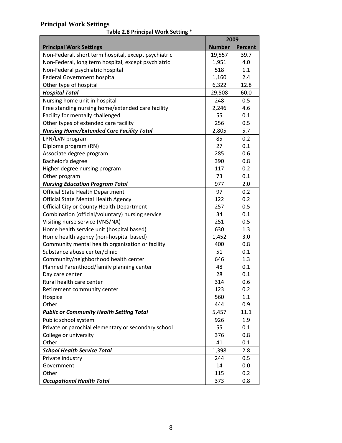#### **Principal Work Settings**

**Table 2.8 Principal Work Setting \***

|                                                      | 2009          |         |
|------------------------------------------------------|---------------|---------|
| <b>Principal Work Settings</b>                       | <b>Number</b> | Percent |
| Non-Federal, short term hospital, except psychiatric | 19,557        | 39.7    |
| Non-Federal, long term hospital, except psychiatric  | 1,951         | 4.0     |
| Non-Federal psychiatric hospital                     | 518           | 1.1     |
| Federal Government hospital                          | 1,160         | 2.4     |
| Other type of hospital                               | 6,322         | 12.8    |
| <b>Hospital Total</b>                                | 29,508        | 60.0    |
| Nursing home unit in hospital                        | 248           | 0.5     |
| Free standing nursing home/extended care facility    | 2,246         | 4.6     |
| Facility for mentally challenged                     | 55            | 0.1     |
| Other types of extended care facility                | 256           | 0.5     |
| <b>Nursing Home/Extended Care Facility Total</b>     | 2,805         | 5.7     |
| LPN/LVN program                                      | 85            | 0.2     |
| Diploma program (RN)                                 | 27            | 0.1     |
| Associate degree program                             | 285           | 0.6     |
| Bachelor's degree                                    | 390           | 0.8     |
| Higher degree nursing program                        | 117           | 0.2     |
| Other program                                        | 73            | 0.1     |
| <b>Nursing Education Program Total</b>               | 977           | 2.0     |
| <b>Official State Health Department</b>              | 97            | 0.2     |
| <b>Official State Mental Health Agency</b>           | 122           | 0.2     |
| Official City or County Health Department            | 257           | 0.5     |
| Combination (official/voluntary) nursing service     | 34            | 0.1     |
| Visiting nurse service (VNS/NA)                      | 251           | 0.5     |
| Home health service unit (hospital based)            | 630           | 1.3     |
| Home health agency (non-hospital based)              | 1,452         | 3.0     |
| Community mental health organization or facility     | 400           | 0.8     |
| Substance abuse center/clinic                        | 51            | 0.1     |
| Community/neighborhood health center                 | 646           | 1.3     |
| Planned Parenthood/family planning center            | 48            | 0.1     |
| Day care center                                      | 28            | 0.1     |
| Rural health care center                             | 314           | 0.6     |
| Retirement community center                          | 123           | 0.2     |
| Hospice                                              | 560           | 1.1     |
| Other                                                | 444           | 0.9     |
| <b>Public or Community Health Setting Total</b>      | 5,457         | 11.1    |
| Public school system                                 | 926           | 1.9     |
| Private or parochial elementary or secondary school  | 55            | 0.1     |
| College or university                                | 376           | 0.8     |
| Other                                                | 41            | 0.1     |
| <b>School Health Service Total</b>                   | 1,398         | 2.8     |
| Private industry                                     | 244           | 0.5     |
| Government                                           | 14            | 0.0     |
| Other                                                | 115           | 0.2     |
| <b>Occupational Health Total</b>                     | 373           | 0.8     |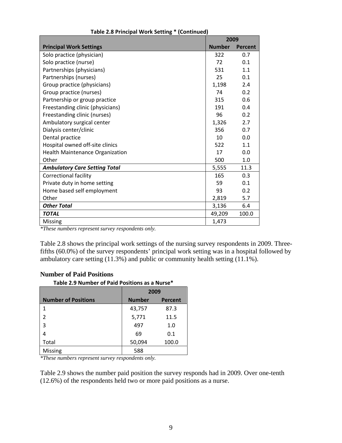|                                        | 2009            |                |  |
|----------------------------------------|-----------------|----------------|--|
| <b>Principal Work Settings</b>         | <b>Number</b>   | <b>Percent</b> |  |
| Solo practice (physician)              | 322             | 0.7            |  |
| Solo practice (nurse)                  | 72              | 0.1            |  |
| Partnerships (physicians)              | 531             | 1.1            |  |
| Partnerships (nurses)                  | 25              | 0.1            |  |
| Group practice (physicians)            | 1,198           | 2.4            |  |
| Group practice (nurses)                | 74              | 0.2            |  |
| Partnership or group practice          | 315             | 0.6            |  |
| Freestanding clinic (physicians)       | 191             | 0.4            |  |
| Freestanding clinic (nurses)           | 96              | 0.2            |  |
| Ambulatory surgical center             | 1,326           | 2.7            |  |
| Dialysis center/clinic                 | 356             | 0.7            |  |
| Dental practice                        | 10 <sup>1</sup> | 0.0            |  |
| Hospital owned off-site clinics        | 522             | 1.1            |  |
| <b>Health Maintenance Organization</b> | 17              | 0.0            |  |
| Other                                  | 500             | 1.0            |  |
| <b>Ambulatory Care Setting Total</b>   | 5,555           | 11.3           |  |
| <b>Correctional facility</b>           | 165             | 0.3            |  |
| Private duty in home setting           | 59              | 0.1            |  |
| Home based self employment             | 93              | 0.2            |  |
| Other                                  | 2,819           | 5.7            |  |
| <b>Other Total</b>                     | 3,136           | 6.4            |  |
| <b>TOTAL</b>                           | 49,209          | 100.0          |  |
| Missing                                | 1,473           |                |  |

#### **Table 2.8 Principal Work Setting \* (Continued)**

*\*These numbers represent survey respondents only.* 

Table 2.8 shows the principal work settings of the nursing survey respondents in 2009. Threefifths (60.0%) of the survey respondents' principal work setting was in a hospital followed by ambulatory care setting (11.3%) and public or community health setting (11.1%).

#### **Number of Paid Positions**

**Table 2.9 Number of Paid Positions as a Nurse\***

|                            | 2009          |                |  |  |  |
|----------------------------|---------------|----------------|--|--|--|
| <b>Number of Positions</b> | <b>Number</b> | <b>Percent</b> |  |  |  |
| 1                          | 43,757        | 87.3           |  |  |  |
| 2                          | 5,771         | 11.5           |  |  |  |
| 3                          | 497           | 1.0            |  |  |  |
| 4                          | 69            | 0.1            |  |  |  |
| Total                      | 50,094        | 100.0          |  |  |  |
| Missing                    | 588           |                |  |  |  |

*\*These numbers represent survey respondents only.* 

Table 2.9 shows the number paid position the survey responds had in 2009. Over one-tenth (12.6%) of the respondents held two or more paid positions as a nurse.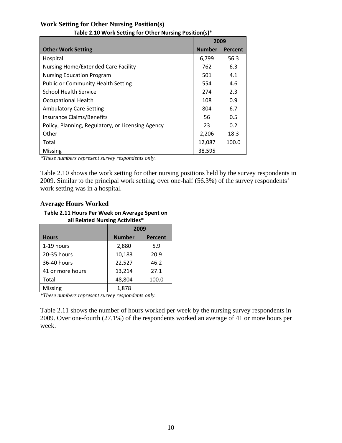|                                                   | 2009          |                |  |  |
|---------------------------------------------------|---------------|----------------|--|--|
| <b>Other Work Setting</b>                         | <b>Number</b> | <b>Percent</b> |  |  |
| Hospital                                          | 6,799         | 56.3           |  |  |
| Nursing Home/Extended Care Facility               | 762           | 6.3            |  |  |
| <b>Nursing Education Program</b>                  | 501           | 4.1            |  |  |
| <b>Public or Community Health Setting</b>         | 554           | 4.6            |  |  |
| <b>School Health Service</b>                      | 274           | 2.3            |  |  |
| <b>Occupational Health</b>                        | 108           | 0.9            |  |  |
| <b>Ambulatory Care Setting</b>                    | 804           | 6.7            |  |  |
| <b>Insurance Claims/Benefits</b>                  | 56            | 0.5            |  |  |
| Policy, Planning, Regulatory, or Licensing Agency | 23            | 0.2            |  |  |
| Other                                             | 2,206         | 18.3           |  |  |
| Total                                             | 12,087        | 100.0          |  |  |
| <b>Missing</b>                                    | 38,595        |                |  |  |

#### **Work Setting for Other Nursing Position(s) Table 2.10 Work Setting for Other Nursing Position(s)\***

*\*These numbers represent survey respondents only.*

Table 2.10 shows the work setting for other nursing positions held by the survey respondents in 2009. Similar to the principal work setting, over one-half (56.3%) of the survey respondents' work setting was in a hospital.

#### **Average Hours Worked**

#### **Table 2.11 Hours Per Week on Average Spent on all Related Nursing Activities\***

|                  | 2009          |                |  |  |
|------------------|---------------|----------------|--|--|
| <b>Hours</b>     | <b>Number</b> | <b>Percent</b> |  |  |
| 1-19 hours       | 2,880         | 5.9            |  |  |
| 20-35 hours      | 10,183        | 20.9           |  |  |
| 36-40 hours      | 22,527        | 46.2           |  |  |
| 41 or more hours | 13,214        | 27.1           |  |  |
| Total            | 48,804        | 100.0          |  |  |
| <b>Missing</b>   | 1.878         |                |  |  |

*\*These numbers represent survey respondents only.* 

Table 2.11 shows the number of hours worked per week by the nursing survey respondents in 2009. Over one-fourth (27.1%) of the respondents worked an average of 41 or more hours per week.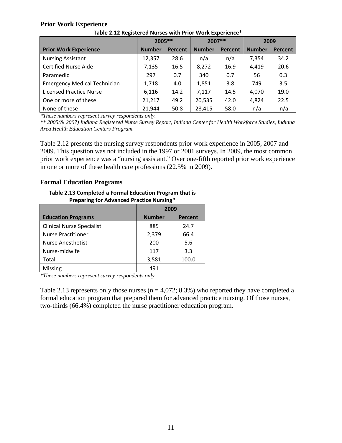#### **Prior Work Experience**

|                                     | 2005 **       |                | 2007 **       |                | 2009          |                |
|-------------------------------------|---------------|----------------|---------------|----------------|---------------|----------------|
| <b>Prior Work Experience</b>        | <b>Number</b> | <b>Percent</b> | <b>Number</b> | <b>Percent</b> | <b>Number</b> | <b>Percent</b> |
| <b>Nursing Assistant</b>            | 12,357        | 28.6           | n/a           | n/a            | 7,354         | 34.2           |
| <b>Certified Nurse Aide</b>         | 7,135         | 16.5           | 8,272         | 16.9           | 4,419         | 20.6           |
| Paramedic                           | 297           | 0.7            | 340           | 0.7            | 56            | 0.3            |
| <b>Emergency Medical Technician</b> | 1,718         | 4.0            | 1,851         | 3.8            | 749           | 3.5            |
| <b>Licensed Practice Nurse</b>      | 6,116         | 14.2           | 7,117         | 14.5           | 4,070         | 19.0           |
| One or more of these                | 21,217        | 49.2           | 20,535        | 42.0           | 4,824         | 22.5           |
| None of these                       | 21,944        | 50.8           | 28,415        | 58.0           | n/a           | n/a            |

**Table 2.12 Registered Nurses with Prior Work Experience\***

*\*These numbers represent survey respondents only.* 

*\*\* 2005(& 2007) Indiana Registered Nurse Survey Report, Indiana Center for Health Workforce Studies, Indiana Area Health Education Centers Program.* 

Table 2.12 presents the nursing survey respondents prior work experience in 2005, 2007 and 2009. This question was not included in the 1997 or 2001 surveys. In 2009, the most common prior work experience was a "nursing assistant." Over one-fifth reported prior work experience in one or more of these health care professions (22.5% in 2009).

#### **Formal Education Programs**

**Table 2.13 Completed a Formal Education Program that is Preparing for Advanced Practice Nursing\***

|                                  | 2009                            |       |  |
|----------------------------------|---------------------------------|-------|--|
| <b>Education Programs</b>        | <b>Number</b><br><b>Percent</b> |       |  |
| <b>Clinical Nurse Specialist</b> | 885                             | 24.7  |  |
| <b>Nurse Practitioner</b>        | 2,379                           | 66.4  |  |
| <b>Nurse Anesthetist</b>         | 200                             | 5.6   |  |
| Nurse-midwife                    | 117                             | 3.3   |  |
| Total                            | 3,581                           | 100.0 |  |
| Missing                          | 491                             |       |  |

*\*These numbers represent survey respondents only.* 

Table 2.13 represents only those nurses ( $n = 4.072$ ; 8.3%) who reported they have completed a formal education program that prepared them for advanced practice nursing. Of those nurses, two-thirds (66.4%) completed the nurse practitioner education program.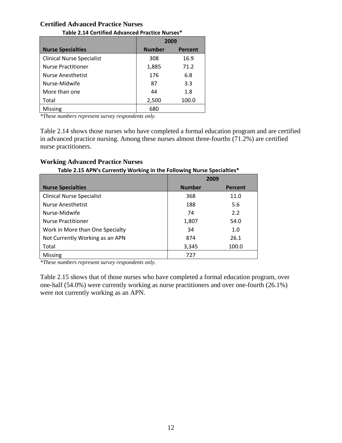#### **Certified Advanced Practice Nurses**

| Table 2.14 Certified Advanced Practice Nurses |                                 |       |  |  |
|-----------------------------------------------|---------------------------------|-------|--|--|
|                                               | 2009                            |       |  |  |
| <b>Nurse Specialties</b>                      | <b>Number</b><br><b>Percent</b> |       |  |  |
| <b>Clinical Nurse Specialist</b>              | 308                             | 16.9  |  |  |
| <b>Nurse Practitioner</b>                     | 1,885                           | 71.2  |  |  |
| Nurse Anesthetist                             | 176                             | 6.8   |  |  |
| Nurse-Midwife                                 | 87                              | 3.3   |  |  |
| More than one                                 | 44                              | 1.8   |  |  |
| Total                                         | 2,500                           | 100.0 |  |  |
| Missing                                       | 680                             |       |  |  |

**Table 2.14 Certified Advanced Practice Nurses\***

*\*These numbers represent survey respondents only.* 

Table 2.14 shows those nurses who have completed a formal education program and are certified in advanced practice nursing. Among these nurses almost three-fourths (71.2%) are certified nurse practitioners.

#### **Working Advanced Practice Nurses**

#### **Table 2.15 APN's Currently Working in the Following Nurse Specialties\***

|                                  | 2009          |                |  |
|----------------------------------|---------------|----------------|--|
| <b>Nurse Specialties</b>         | <b>Number</b> | <b>Percent</b> |  |
| <b>Clinical Nurse Specialist</b> | 368           | 11.0           |  |
| <b>Nurse Anesthetist</b>         | 188           | 5.6            |  |
| Nurse-Midwife                    | 74            | 2.2            |  |
| <b>Nurse Practitioner</b>        | 1,807         | 54.0           |  |
| Work in More than One Specialty  | 34            | 1.0            |  |
| Not Currently Working as an APN  | 874           | 26.1           |  |
| Total                            | 3,345         | 100.0          |  |
| Missing                          | 727           |                |  |

*\*These numbers represent survey respondents only.*

Table 2.15 shows that of those nurses who have completed a formal education program, over one-half (54.0%) were currently working as nurse practitioners and over one-fourth (26.1%) were not currently working as an APN.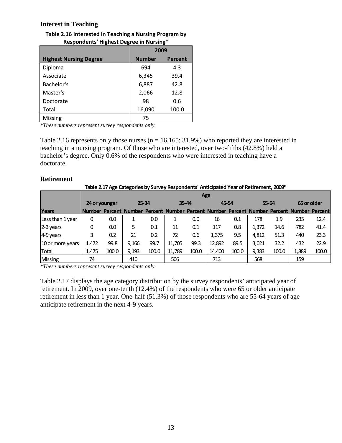#### **Interest in Teaching**

| Table 2.16 Interested in Teaching a Nursing Program by |
|--------------------------------------------------------|
| Respondents' Highest Degree in Nursing*                |

| $1.99$ points $1.18$ and $1.18$ and $1.18$ and $1.18$ |               |                |  |  |  |
|-------------------------------------------------------|---------------|----------------|--|--|--|
|                                                       | 2009          |                |  |  |  |
| <b>Highest Nursing Degree</b>                         | <b>Number</b> | <b>Percent</b> |  |  |  |
| Diploma                                               | 694           | 4.3            |  |  |  |
| Associate                                             | 6,345         | 39.4           |  |  |  |
| Bachelor's                                            | 6,887         | 42.8           |  |  |  |
| Master's                                              | 2,066         | 12.8           |  |  |  |
| Doctorate                                             | 98            | 0.6            |  |  |  |
| Total                                                 | 16,090        | 100.0          |  |  |  |
| <b>Missing</b>                                        | 75            |                |  |  |  |

*\*These numbers represent survey respondents only.* 

Table 2.16 represents only those nurses ( $n = 16,165; 31.9%$ ) who reported they are interested in teaching in a nursing program. Of those who are interested, over two-fifths (42.8%) held a bachelor's degree. Only 0.6% of the respondents who were interested in teaching have a doctorate.

#### **Retirement**

| Table 2.17 Age Categories by Survey Respondents' Anticipated Year of Retirement, 2009* |               |            |       |       |        |           |                                                                                            |       |       |       |             |       |
|----------------------------------------------------------------------------------------|---------------|------------|-------|-------|--------|-----------|--------------------------------------------------------------------------------------------|-------|-------|-------|-------------|-------|
|                                                                                        |               | <b>Age</b> |       |       |        |           |                                                                                            |       |       |       |             |       |
|                                                                                        | 24 or younger |            |       | 25-34 |        | $35 - 44$ |                                                                                            | 45-54 |       | 55-64 | 65 or older |       |
| Years                                                                                  |               |            |       |       |        |           | Number Percent Number Percent Number Percent Number Percent Number Percent Number Percentl |       |       |       |             |       |
| Less than 1 year                                                                       | 0             | 0.0        |       | 0.0   |        | 0.0       | 16                                                                                         | 0.1   | 178   | 1.9   | 235         | 12.4  |
| $2-3$ years                                                                            | 0             | 0.0        | 5.    | 0.1   | 11     | 0.1       | 117                                                                                        | 0.8   | 1,372 | 14.6  | 782         | 41.4  |
| $4-9$ years                                                                            | 3             | 0.2        | 21    | 0.2   | 72     | 0.6       | 1,375                                                                                      | 9.5   | 4,812 | 51.3  | 440         | 23.3  |
| 10 or more years                                                                       | 1,472         | 99.8       | 9,166 | 99.7  | 11,705 | 99.3      | 12,892                                                                                     | 89.5  | 3,021 | 32.2  | 432         | 22.9  |
| Total                                                                                  | 1,475         | 100.0      | 9,193 | 100.0 | 11,789 | 100.0     | 14,400                                                                                     | 100.0 | 9,383 | 100.0 | 1,889       | 100.0 |
| Missing                                                                                | 74            |            | 410   |       | 506    |           | 713                                                                                        |       | 568   |       | 159         |       |

*\*These numbers represent survey respondents only.* 

Table 2.17 displays the age category distribution by the survey respondents' anticipated year of retirement. In 2009, over one-tenth (12.4%) of the respondents who were 65 or older anticipate retirement in less than 1 year. One-half (51.3%) of those respondents who are 55-64 years of age anticipate retirement in the next 4-9 years.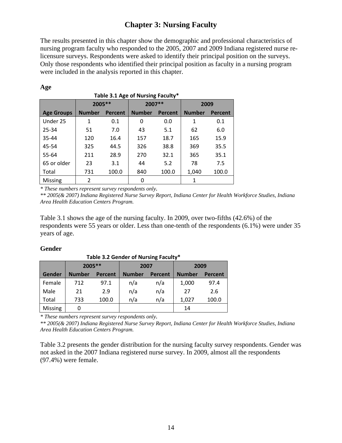## **Chapter 3: Nursing Faculty**

The results presented in this chapter show the demographic and professional characteristics of nursing program faculty who responded to the 2005, 2007 and 2009 Indiana registered nurse relicensure surveys. Respondents were asked to identify their principal position on the surveys. Only those respondents who identified their principal position as faculty in a nursing program were included in the analysis reported in this chapter.

| Table 3.1 Age of Nursing Faculty* |               |                |               |                |               |         |  |  |
|-----------------------------------|---------------|----------------|---------------|----------------|---------------|---------|--|--|
|                                   | 2005 **       |                | 2007 **       |                |               | 2009    |  |  |
| <b>Age Groups</b>                 | <b>Number</b> | <b>Percent</b> | <b>Number</b> | <b>Percent</b> | <b>Number</b> | Percent |  |  |
| Under 25                          | 1             | 0.1            | 0             | 0.0            | 1             | 0.1     |  |  |
| 25-34                             | 51            | 7.0            | 43            | 5.1            | 62            | 6.0     |  |  |
| 35-44                             | 120           | 16.4           | 157           | 18.7           | 165           | 15.9    |  |  |
| 45-54                             | 325           | 44.5           | 326           | 38.8           | 369           | 35.5    |  |  |
| 55-64                             | 211           | 28.9           | 270           | 32.1           | 365           | 35.1    |  |  |
| 65 or older                       | 23            | 3.1            | 44            | 5.2            | 78            | 7.5     |  |  |
| Total                             | 731           | 100.0          | 840           | 100.0          | 1.040         | 100.0   |  |  |
| <b>Missing</b>                    | 2             |                | O             |                |               |         |  |  |

#### **Age**

*\* These numbers represent survey respondents only. \*\* 2005(& 2007) Indiana Registered Nurse Survey Report, Indiana Center for Health Workforce Studies, Indiana Area Health Education Centers Program.* 

Table 3.1 shows the age of the nursing faculty. In 2009, over two-fifths (42.6%) of the respondents were 55 years or older. Less than one-tenth of the respondents (6.1%) were under 35 years of age.

#### **Gender**

| Table 3.2 Genuer of Nursing Faculty |               |                |               |                |               |                |  |  |
|-------------------------------------|---------------|----------------|---------------|----------------|---------------|----------------|--|--|
|                                     | 2005 **       |                | 2007          |                | 2009          |                |  |  |
| Gender                              | <b>Number</b> | <b>Percent</b> | <b>Number</b> | <b>Percent</b> | <b>Number</b> | <b>Percent</b> |  |  |
| Female                              | 712           | 97.1           | n/a           | n/a            | 1,000         | 97.4           |  |  |
| Male                                | 21            | 2.9            | n/a           | n/a            | 27            | 2.6            |  |  |
| Total                               | 733           | 100.0          | n/a           | n/a            | 1,027         | 100.0          |  |  |
| Missing                             |               |                |               |                | 14            |                |  |  |

**Table 3.2 Gender of Nursing Faculty\***

*\* These numbers represent survey respondents only. \*\* 2005(& 2007) Indiana Registered Nurse Survey Report, Indiana Center for Health Workforce Studies, Indiana Area Health Education Centers Program.* 

Table 3.2 presents the gender distribution for the nursing faculty survey respondents. Gender was not asked in the 2007 Indiana registered nurse survey. In 2009, almost all the respondents (97.4%) were female.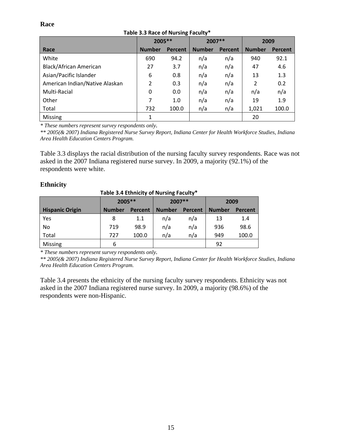#### **Race**

|                                | 2005 **       |         | 2007 **       |                | 2009          |         |  |  |  |
|--------------------------------|---------------|---------|---------------|----------------|---------------|---------|--|--|--|
| Race                           | <b>Number</b> | Percent | <b>Number</b> | <b>Percent</b> | <b>Number</b> | Percent |  |  |  |
| White                          | 690           | 94.2    | n/a           | n/a            | 940           | 92.1    |  |  |  |
| Black/African American         | 27            | 3.7     | n/a           | n/a            | 47            | 4.6     |  |  |  |
| Asian/Pacific Islander         | 6             | 0.8     | n/a           | n/a            | 13            | 1.3     |  |  |  |
| American Indian/Native Alaskan | 2             | 0.3     | n/a           | n/a            | 2             | 0.2     |  |  |  |
| Multi-Racial                   | 0             | 0.0     | n/a           | n/a            | n/a           | n/a     |  |  |  |
| Other                          | 7             | 1.0     | n/a           | n/a            | 19            | 1.9     |  |  |  |
| Total                          | 732           | 100.0   | n/a           | n/a            | 1,021         | 100.0   |  |  |  |
| <b>Missing</b>                 |               |         |               |                | 20            |         |  |  |  |

#### **Table 3.3 Race of Nursing Faculty\***

*\* These numbers represent survey respondents only. \*\* 2005(& 2007) Indiana Registered Nurse Survey Report, Indiana Center for Health Workforce Studies, Indiana Area Health Education Centers Program.* 

Table 3.3 displays the racial distribution of the nursing faculty survey respondents. Race was not asked in the 2007 Indiana registered nurse survey. In 2009, a majority (92.1%) of the respondents were white.

#### **Ethnicity**

| Table 3.4 Ethnicity of Nursing Faculty* |               |                |               |                |               |                |  |  |  |  |
|-----------------------------------------|---------------|----------------|---------------|----------------|---------------|----------------|--|--|--|--|
|                                         | 2005 **       |                | 2007 **       |                | 2009          |                |  |  |  |  |
| <b>Hispanic Origin</b>                  | <b>Number</b> | <b>Percent</b> | <b>Number</b> | <b>Percent</b> | <b>Number</b> | <b>Percent</b> |  |  |  |  |
| Yes                                     | 8             | 1.1            | n/a           | n/a            | 13            | 1.4            |  |  |  |  |
| No                                      | 719           | 98.9           | n/a           | n/a            | 936           | 98.6           |  |  |  |  |
| Total                                   | 727           | 100.0          | n/a           | n/a            | 949           | 100.0          |  |  |  |  |
| Missing                                 | 6             |                |               |                | 92            |                |  |  |  |  |

*\* These numbers represent survey respondents only. \*\* 2005(& 2007) Indiana Registered Nurse Survey Report, Indiana Center for Health Workforce Studies, Indiana Area Health Education Centers Program.* 

Table 3.4 presents the ethnicity of the nursing faculty survey respondents. Ethnicity was not asked in the 2007 Indiana registered nurse survey. In 2009, a majority (98.6%) of the respondents were non-Hispanic.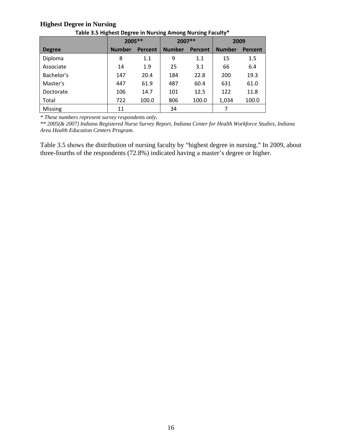#### **Highest Degree in Nursing**

|               | 2005 **       |         | ັ<br>2007 **  |         | 2009          |         |  |
|---------------|---------------|---------|---------------|---------|---------------|---------|--|
| <b>Degree</b> | <b>Number</b> | Percent | <b>Number</b> | Percent | <b>Number</b> | Percent |  |
| Diploma       | 8             | 1.1     | 9             | 1.1     | 15            | 1.5     |  |
| Associate     | 14            | 1.9     | 25            | 3.1     | 66            | 6.4     |  |
| Bachelor's    | 147           | 20.4    | 184           | 22.8    | 200           | 19.3    |  |
| Master's      | 447           | 61.9    | 487           | 60.4    | 631           | 61.0    |  |
| Doctorate     | 106           | 14.7    | 101           | 12.5    | 122           | 11.8    |  |
| Total         | 722           | 100.0   | 806           | 100.0   | 1,034         | 100.0   |  |
| Missing       | 11            |         | 34            |         |               |         |  |

**Table 3.5 Highest Degree in Nursing Among Nursing Faculty\***

*\* These numbers represent survey respondents only. \*\* 2005(& 2007) Indiana Registered Nurse Survey Report, Indiana Center for Health Workforce Studies, Indiana Area Health Education Centers Program.* 

Table 3.5 shows the distribution of nursing faculty by "highest degree in nursing." In 2009, about three-fourths of the respondents (72.8%) indicated having a master's degree or higher.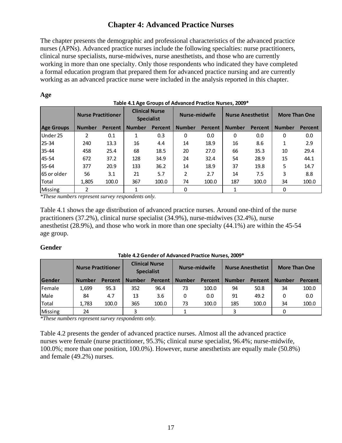## **Chapter 4: Advanced Practice Nurses**

The chapter presents the demographic and professional characteristics of the advanced practice nurses (APNs). Advanced practice nurses include the following specialties: nurse practitioners, clinical nurse specialists, nurse-midwives, nurse anesthetists, and those who are currently working in more than one specialty. Only those respondents who indicated they have completed a formal education program that prepared them for advanced practice nursing and are currently working as an advanced practice nurse were included in the analysis reported in this chapter.

|                   | TURIC TILING CHOURS OF MUTULE IT HOLLICE HUISES, 2003 |         |                                            |         |               |         |                          |         |                      |         |
|-------------------|-------------------------------------------------------|---------|--------------------------------------------|---------|---------------|---------|--------------------------|---------|----------------------|---------|
|                   | <b>Nurse Practitioner</b>                             |         | <b>Clinical Nurse</b><br><b>Specialist</b> |         | Nurse-midwife |         | <b>Nurse Anesthetist</b> |         | <b>More Than One</b> |         |
| <b>Age Groups</b> | <b>Number</b>                                         | Percent | <b>Number</b>                              | Percent | <b>Number</b> | Percent | <b>Number</b>            | Percent | <b>Number</b>        | Percent |
| Under 25          | 2                                                     | 0.1     |                                            | 0.3     | 0             | 0.0     | $\Omega$                 | 0.0     | 0                    | 0.0     |
| $25 - 34$         | 240                                                   | 13.3    | 16                                         | 4.4     | 14            | 18.9    | 16                       | 8.6     | 1                    | 2.9     |
| 35-44             | 458                                                   | 25.4    | 68                                         | 18.5    | 20            | 27.0    | 66                       | 35.3    | 10                   | 29.4    |
| 45-54             | 672                                                   | 37.2    | 128                                        | 34.9    | 24            | 32.4    | 54                       | 28.9    | 15                   | 44.1    |
| 55-64             | 377                                                   | 20.9    | 133                                        | 36.2    | 14            | 18.9    | 37                       | 19.8    | 5                    | 14.7    |
| 65 or older       | 56                                                    | 3.1     | 21                                         | 5.7     | 2             | 2.7     | 14                       | 7.5     | 3                    | 8.8     |
| Total             | 1,805                                                 | 100.0   | 367                                        | 100.0   | 74            | 100.0   | 187                      | 100.0   | 34                   | 100.0   |
| <b>Missing</b>    | 2                                                     |         |                                            |         | 0             |         |                          |         | 0                    |         |

#### **Table 4.1 Age Groups of Advanced Practice Nurses, 2009\***

*\*These numbers represent survey respondents only.* 

Table 4.1 shows the age distribution of advanced practice nurses. Around one-third of the nurse practitioners (37.2%), clinical nurse specialist (34.9%), nurse-midwives (32.4%), nurse anesthetist (28.9%), and those who work in more than one specialty (44.1%) are within the 45-54 age group.

#### **Gender**

**Age** 

#### Gender | Number Percent | Number Percent | Number Percent | Number Percent | Number Percent Female 1,699 95.3 352 96.4 73 100.0 94 50.8 34 100.0 Male | 84 4.7 | 13 3.6 | 0 0.0 | 91 49.2 | 0 0.0 Total 1,783 100.0 365 100.0 73 100.0 185 100.0 34 100.0 Missing 24 3 1 3 3 0 **Nurse Anesthetist | More Than One Table 4.2Gender of Advanced Practice Nurses, 2009\* Nurse Practitioner Clinical Nurse Specialist Nurse‐midwife**

*\*These numbers represent survey respondents only.* 

Table 4.2 presents the gender of advanced practice nurses. Almost all the advanced practice nurses were female (nurse practitioner, 95.3%; clinical nurse specialist, 96.4%; nurse-midwife, 100.0%; more than one position, 100.0%). However, nurse anesthetists are equally male (50.8%) and female (49.2%) nurses.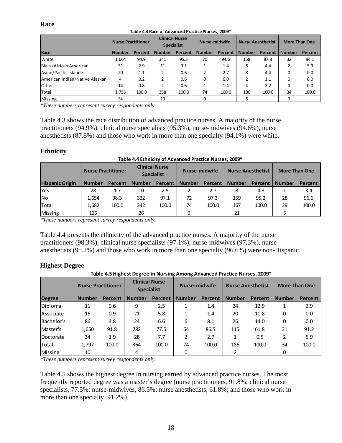#### **Race**

|                                | <b>Nurse Practitioner</b> |                | <b>Clinical Nurse</b><br><b>Specialist</b> |         | Nurse-midwife |         | <b>Nurse Anesthetist</b> |         | <b>More Than One</b> |         |
|--------------------------------|---------------------------|----------------|--------------------------------------------|---------|---------------|---------|--------------------------|---------|----------------------|---------|
| Race                           | <b>Number</b>             | <b>Percent</b> | <b>Number</b>                              | Percent | <b>Number</b> | Percent | <b>Number</b>            | Percent | <b>Number</b>        | Percent |
| <b>White</b>                   | 1,664                     | 94.9           | 341                                        | 95.3    | 70            | 94.6    | 158                      | 87.8    | 32                   | 94.1    |
| Black/African American         | 51                        | 2.9            | 11                                         | 3.1     |               | 1.4     | 8                        | 4.4     |                      | 5.9     |
| Asian/Pacific Islander         | 20                        | 1.1            | 2                                          | 0.6     | 2             | 2.7     | 8                        | 4.4     | 0                    | 0.0     |
| American Indian/Native Alaskan | 4                         | 0.2            |                                            | 0.6     | 0             | 0.0     |                          | 1.1     | 0                    | 0.0     |
| <b>l</b> Other                 | 14                        | 0.8            | 2                                          | 0.6     |               | 1.4     | 4                        | 2.2     | 0                    | 0.0     |
| <b>Total</b>                   | 1,753                     | 100.0          | 358                                        | 100.0   | 74            | 100.0   | 180                      | 100.0   | 34                   | 100.0   |
| Missing                        | 54                        |                | 10                                         |         |               |         |                          |         |                      |         |

#### **Table 4.3 Race of Advanced Practice Nurses, 2009\***

*\*These numbers represent survey respondents only.* 

Table 4.3 shows the race distribution of advanced practice nurses. A majority of the nurse practitioners (94.9%), clinical nurse specialists (95.3%), nurse-midwives (94.6%), nurse anesthetists (87.8%) and those who work in more than one specialty (94.1%) were white.

#### **Ethnicity**

|                        | <b>Nurse Practitioner</b> |         | <b>Clinical Nurse</b><br><b>Specialist</b> |                | Nurse-midwife |         | <b>Nurse Anesthetist</b> |         | <b>More Than One</b> |         |
|------------------------|---------------------------|---------|--------------------------------------------|----------------|---------------|---------|--------------------------|---------|----------------------|---------|
| <b>Hispanic Origin</b> | <b>Number</b>             | Percent | <b>Number</b>                              | <b>Percent</b> | <b>Number</b> | Percent | <b>Number</b>            | Percent | <b>Number</b>        | Percent |
| Yes                    | 28                        | 1.7     | 10                                         | 2.9            |               | 2.7     | 8                        | 4.8     |                      | 3.4     |
| <b>No</b>              | 1.654                     | 98.3    | 332                                        | 97.1           | 72            | 97.3    | 159                      | 95.2    | 28                   | 96.6    |
| Total                  | 1,682                     | 100.0   | 342                                        | 100.0          | 74            | 100.0   | 167                      | 100.0   | 29                   | 100.0   |
| <b>Missing</b>         | 125                       |         | 26                                         |                |               |         | 21                       |         |                      |         |

#### **Table 4.4 Ethnicity of Advanced Practice Nurses, 2009\***

*\*These numbers represent survey respondents only.* 

Table 4.4 presents the ethnicity of the advanced practice nurses. A majority of the nurse practitioners (98.3%), clinical nurse specialists (97.1%), nurse-midwives (97.3%), nurse anesthetists (95.2%) and those who work in more than one specialty (96.6%) were non-Hispanic.

#### **Highest Degree**

**Table 4.5 Highest Degree in Nursing Among Advanced Practice Nurses, 2009\***

|                  | <b>Nurse Practitioner</b> |         | <b>Clinical Nurse</b><br><b>Specialist</b> |                | Nurse-midwife |         | <b>Nurse Anesthetist</b> |         | <b>More Than One</b> |         |
|------------------|---------------------------|---------|--------------------------------------------|----------------|---------------|---------|--------------------------|---------|----------------------|---------|
| <b>Degree</b>    | <b>Number</b>             | Percent | <b>Number</b>                              | <b>Percent</b> | <b>Number</b> | Percent | <b>Number</b>            | Percent | <b>Number</b>        | Percent |
| Diploma          | 11                        | 0.6     | 9                                          | 2.5            |               | 1.4     | 24                       | 12.9    |                      | 2.9     |
| <b>Associate</b> | 16                        | 0.9     | 21                                         | 5.8            |               | 1.4     | 20                       | 10.8    | 0                    | 0.0     |
| Bachelor's       | 86                        | 4.8     | 24                                         | 6.6            | 6             | 8.1     | 26                       | 14.0    | 0                    | 0.0     |
| lMaster's        | 1,650                     | 91.8    | 282                                        | 77.5           | 64            | 86.5    | 115                      | 61.8    | 31                   | 91.2    |
| Doctorate        | 34                        | 1.9     | 28                                         | 7.7            | 2             | 2.7     | 1                        | 0.5     |                      | 5.9     |
| Total            | 1,797                     | 100.0   | 364                                        | 100.0          | 74            | 100.0   | 186                      | 100.0   | 34                   | 100.0   |
| Missing          | 10                        |         | 4                                          |                | 0             |         |                          |         |                      |         |

*\*These numbers represent survey respondents only.* 

Table 4.5 shows the highest degree in nursing earned by advanced practice nurses. The most frequently reported degree was a master's degree (nurse practitioners, 91.8%; clinical nurse specialists, 77.5%; nurse-midwives, 86.5%; nurse anesthetists, 61.8%; and those who work in more than one specialty, 91.2%).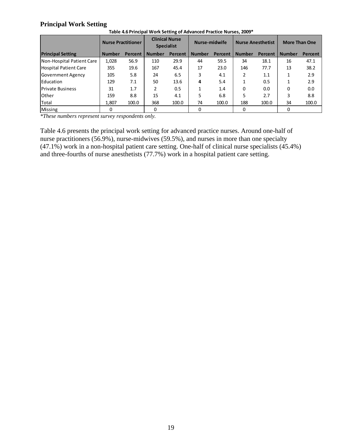#### **Principal Work Setting**

|                              | <b>Nurse Practitioner</b> |         | <b>Clinical Nurse</b><br><b>Specialist</b> |         | Nurse-midwife |         | <b>Nurse Anesthetist</b> |         | <b>More Than One</b> |         |
|------------------------------|---------------------------|---------|--------------------------------------------|---------|---------------|---------|--------------------------|---------|----------------------|---------|
| <b>Principal Setting</b>     | <b>Number</b>             | Percent | <b>Number</b>                              | Percent | <b>Number</b> | Percent | <b>Number</b>            | Percent | <b>Number</b>        | Percent |
| Non-Hospital Patient Care    | 1,028                     | 56.9    | 110                                        | 29.9    | 44            | 59.5    | 34                       | 18.1    | 16                   | 47.1    |
| <b>Hospital Patient Care</b> | 355                       | 19.6    | 167                                        | 45.4    | 17            | 23.0    | 146                      | 77.7    | 13                   | 38.2    |
| <b>Government Agency</b>     | 105                       | 5.8     | 24                                         | 6.5     | 3             | 4.1     | 2                        | 1.1     |                      | 2.9     |
| Education                    | 129                       | 7.1     | 50                                         | 13.6    | 4             | 5.4     |                          | 0.5     |                      | 2.9     |
| <b>Private Business</b>      | 31                        | 1.7     | 2                                          | 0.5     | 1             | 1.4     | 0                        | 0.0     | 0                    | 0.0     |
| <b>Other</b>                 | 159                       | 8.8     | 15                                         | 4.1     | 5             | 6.8     | 5.                       | 2.7     | 3                    | 8.8     |
| Total                        | 1.807                     | 100.0   | 368                                        | 100.0   | 74            | 100.0   | 188                      | 100.0   | 34                   | 100.0   |
| <b>Missing</b>               | 0                         |         | 0                                          |         | 0             |         | 0                        |         | 0                    |         |

**Table 4.6 Principal Work Setting of Advanced Practice Nurses, 2009\***

*\*These numbers represent survey respondents only.* 

Table 4.6 presents the principal work setting for advanced practice nurses. Around one-half of nurse practitioners (56.9%), nurse-midwives (59.5%), and nurses in more than one specialty (47.1%) work in a non-hospital patient care setting. One-half of clinical nurse specialists (45.4%) and three-fourths of nurse anesthetists (77.7%) work in a hospital patient care setting.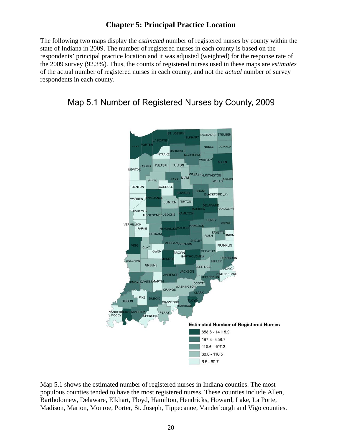## **Chapter 5: Principal Practice Location**

The following two maps display the *estimated* number of registered nurses by county within the state of Indiana in 2009. The number of registered nurses in each county is based on the respondents' principal practice location and it was adjusted (weighted) for the response rate of the 2009 survey (92.3%). Thus, the counts of registered nurses used in these maps are *estimates* of the actual number of registered nurses in each county, and not the *actual* number of survey respondents in each county.





Map 5.1 shows the estimated number of registered nurses in Indiana counties. The most populous counties tended to have the most registered nurses. These counties include Allen, Bartholomew, Delaware, Elkhart, Floyd, Hamilton, Hendricks, Howard, Lake, La Porte, Madison, Marion, Monroe, Porter, St. Joseph, Tippecanoe, Vanderburgh and Vigo counties.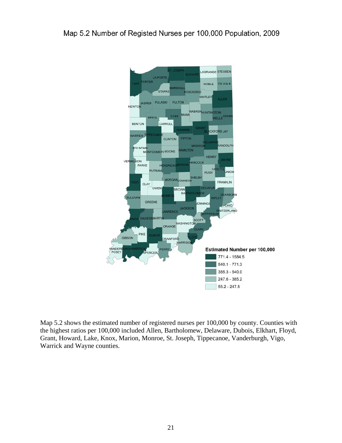

Map 5.2 shows the estimated number of registered nurses per 100,000 by county. Counties with the highest ratios per 100,000 included Allen, Bartholomew, Delaware, Dubois, Elkhart, Floyd, Grant, Howard, Lake, Knox, Marion, Monroe, St. Joseph, Tippecanoe, Vanderburgh, Vigo, Warrick and Wayne counties.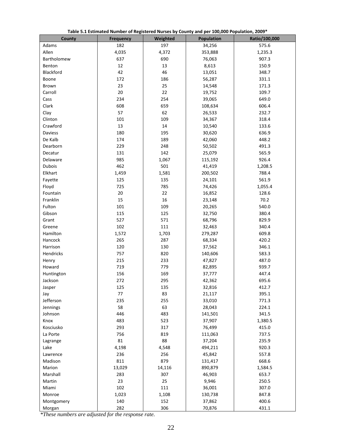| County      | <b>Frequency</b> | Weighted | Population | Ratio/100,000 |
|-------------|------------------|----------|------------|---------------|
| Adams       | 182              | 197      | 34,256     | 575.6         |
| Allen       | 4,035            | 4,372    | 353,888    | 1,235.3       |
| Bartholomew | 637              | 690      | 76,063     | 907.3         |
| Benton      | 12               | 13       | 8,613      | 150.9         |
| Blackford   | 42               | 46       | 13,051     | 348.7         |
| Boone       | 172              | 186      | 56,287     | 331.1         |
| Brown       | 23               | 25       | 14,548     | 171.3         |
| Carroll     | 20               | 22       | 19,752     | 109.7         |
| Cass        | 234              | 254      | 39,065     | 649.0         |
| Clark       | 608              | 659      | 108,634    | 606.4         |
| Clay        | 57               | 62       | 26,533     | 232.7         |
| Clinton     | 101              | 109      | 34,367     | 318.4         |
| Crawford    | 13               | 14       | 10,540     | 133.6         |
| Daviess     | 180              | 195      | 30,620     | 636.9         |
| De Kalb     | 174              | 189      | 42,060     | 448.2         |
| Dearborn    | 229              | 248      | 50,502     | 491.3         |
| Decatur     | 131              | 142      | 25,079     | 565.9         |
| Delaware    | 985              | 1,067    | 115,192    | 926.4         |
| Dubois      | 462              | 501      | 41,419     | 1,208.5       |
| Elkhart     | 1,459            | 1,581    | 200,502    | 788.4         |
| Fayette     | 125              | 135      | 24,101     | 561.9         |
| Floyd       | 725              | 785      | 74,426     | 1,055.4       |
| Fountain    | 20               | 22       | 16,852     | 128.6         |
| Franklin    | 15               | 16       | 23,148     | 70.2          |
| Fulton      | 101              | 109      | 20,265     | 540.0         |
| Gibson      | 115              | 125      | 32,750     | 380.4         |
| Grant       | 527              | 571      | 68,796     | 829.9         |
| Greene      | 102              | 111      | 32,463     | 340.4         |
| Hamilton    | 1,572            | 1,703    | 279,287    | 609.8         |
| Hancock     | 265              | 287      | 68,334     | 420.2         |
| Harrison    | 120              | 130      | 37,562     | 346.1         |
| Hendricks   | 757              | 820      | 140,606    | 583.3         |
| Henry       | 215              | 233      | 47,827     | 487.0         |
| Howard      | 719              | 779      | 82,895     | 939.7         |
| Huntington  | 156              | 169      | 37,777     | 447.4         |
| Jackson     | 272              | 295      | 42,362     | 695.6         |
| Jasper      | 125              | 135      | 32,816     | 412.7         |
| Jay         | $77 \,$          | 83       | 21,117     | 395.1         |
| Jefferson   | 235              | 255      | 33,010     | 771.3         |
| Jennings    | 58               | 63       | 28,043     | 224.1         |
| Johnson     | 446              | 483      | 141,501    | 341.5         |
| Knox        | 483              | 523      | 37,907     | 1,380.5       |
| Kosciusko   | 293              | 317      | 76,499     | 415.0         |
| La Porte    | 756              | 819      | 111,063    | 737.5         |
| Lagrange    | 81               | 88       | 37,204     | 235.9         |
| Lake        | 4,198            | 4,548    | 494,211    | 920.3         |
| Lawrence    | 236              | 256      | 45,842     | 557.8         |
| Madison     | 811              | 879      | 131,417    | 668.6         |
| Marion      | 13,029           | 14,116   | 890,879    | 1,584.5       |
| Marshall    | 283              | 307      | 46,903     | 653.7         |
| Martin      | 23               | 25       | 9,946      | 250.5         |
| Miami       | 102              | 111      | 36,001     | 307.0         |
| Monroe      | 1,023            | 1,108    | 130,738    | 847.8         |
| Montgomery  | 140              | 152      | 37,862     | 400.6         |
| Morgan      | 282              | 306      | 70,876     | 431.1         |

**Table 5.1 Estimated Number of Registered Nurses by County and per 100,000 Population, 2009\***

*\*These numbers are adjusted for the response rate.*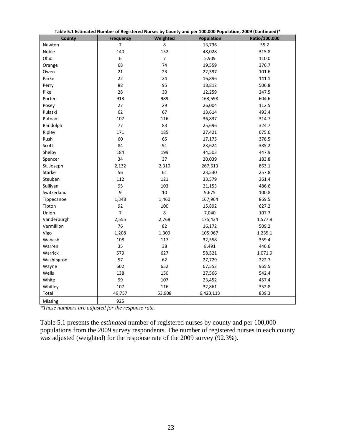|                |                  |                |            | *Table 5.1 Estimated Number of Registered Nurses by County and per 100,000 Population, 2009 (Continued) |
|----------------|------------------|----------------|------------|---------------------------------------------------------------------------------------------------------|
| County         | <b>Frequency</b> | Weighted       | Population | Ratio/100,000                                                                                           |
| Newton         | $\overline{7}$   | 8              | 13,736     | 55.2                                                                                                    |
| Noble          | 140              | 152            | 48,028     | 315.8                                                                                                   |
| Ohio           | 6                | $\overline{7}$ | 5,909      | 110.0                                                                                                   |
| Orange         | 68               | 74<br>19,559   |            | 376.7                                                                                                   |
| Owen           | 21               | 23             | 22,397     | 101.6                                                                                                   |
| Parke          | 22               | 24             | 16,896     | 141.1                                                                                                   |
| Perry          | 88               | 95             | 18,812     | 506.8                                                                                                   |
| Pike           | 28               | 30             | 12,259     | 247.5                                                                                                   |
| Porter         | 913              | 989            | 163,598    | 604.6                                                                                                   |
| Posey          | $27\,$           | 29             | 26,004     | 112.5                                                                                                   |
| Pulaski        | 62               | 67             | 13,614     | 493.4                                                                                                   |
| Putnam         | 107              | 116            | 36,837     | 314.7                                                                                                   |
| Randolph       | 77               | 83             | 25,696     | 324.7                                                                                                   |
| Ripley         | 171              | 185            | 27,421     | 675.6                                                                                                   |
| Rush           | 60               | 65             | 17,175     | 378.5                                                                                                   |
| Scott          | 84               | 91             | 23,624     | 385.2                                                                                                   |
| Shelby         | 184              | 199            | 44,503     | 447.9                                                                                                   |
| Spencer        | 34               | 37             | 20,039     | 183.8                                                                                                   |
| St. Joseph     | 2,132            | 2,310          | 267,613    | 863.1                                                                                                   |
| <b>Starke</b>  | 56               | 61             | 23,530     | 257.8                                                                                                   |
| Steuben        | 112              | 121            | 33,579     | 361.4                                                                                                   |
| Sullivan       | 95               | 103            | 21,153     | 486.6                                                                                                   |
| Switzerland    | 9                | 10             | 9,675      | 100.8                                                                                                   |
| Tippecanoe     | 1,348            | 1,460          | 167,964    | 869.5                                                                                                   |
| Tipton         | 92               | 100            | 15,892     | 627.2                                                                                                   |
| Union          | $\overline{7}$   | 8              | 7,040      | 107.7                                                                                                   |
| Vanderburgh    | 2,555            | 2,768          | 175,434    | 1,577.9                                                                                                 |
| Vermillion     | 76               | 82             | 16,172     | 509.2                                                                                                   |
| Vigo           | 1,208            | 1,309          | 105,967    | 1,235.1                                                                                                 |
| Wabash         | 108              | 117            | 32,558     | 359.4                                                                                                   |
| Warren         | 35               | 38             | 8,491      | 446.6                                                                                                   |
| Warrick        | 579              | 627            | 58,521     | 1,071.9                                                                                                 |
| Washington     | 57               | 62             | 27,729     | 222.7                                                                                                   |
| Wayne          | 602              | 652            | 67,552     | 965.5                                                                                                   |
| Wells          | 138              | 150            | 27,566     | 542.4                                                                                                   |
| White          | 99               | 107            | 23,452     | 457.4                                                                                                   |
| Whitley        | 107              | 116            | 32,861     | 352.8                                                                                                   |
| Total          | 49,757           | 53,908         | 6,423,113  | 839.3                                                                                                   |
| <b>Missing</b> | 925              |                |            |                                                                                                         |

**Table 5.1 Estimated Number of Registered Nurses by County and per 100,000 Population, 2009 (Continued)\***

*\*These numbers are adjusted for the response rate.* 

Table 5.1 presents the *estimated* number of registered nurses by county and per 100,000 populations from the 2009 survey respondents. The number of registered nurses in each county was adjusted (weighted) for the response rate of the 2009 survey (92.3%).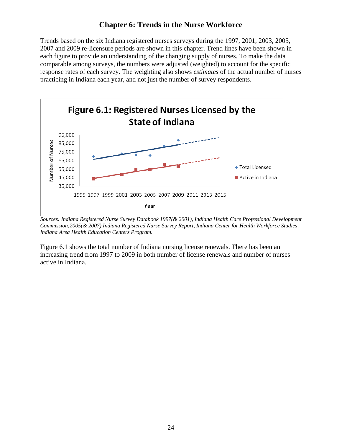## **Chapter 6: Trends in the Nurse Workforce**

Trends based on the six Indiana registered nurses surveys during the 1997, 2001, 2003, 2005, 2007 and 2009 re-licensure periods are shown in this chapter. Trend lines have been shown in each figure to provide an understanding of the changing supply of nurses. To make the data comparable among surveys, the numbers were adjusted (weighted) to account for the specific response rates of each survey. The weighting also shows *estimates* of the actual number of nurses practicing in Indiana each year, and not just the number of survey respondents.



*Sources: Indiana Registered Nurse Survey Databook 1997(& 2001), Indiana Health Care Professional Development Commission;2005(& 2007) Indiana Registered Nurse Survey Report, Indiana Center for Health Workforce Studies, Indiana Area Health Education Centers Program.* 

Figure 6.1 shows the total number of Indiana nursing license renewals. There has been an increasing trend from 1997 to 2009 in both number of license renewals and number of nurses active in Indiana.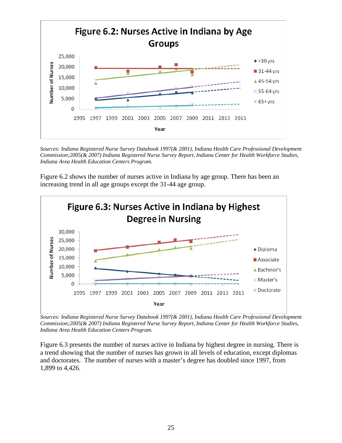

*Sources: Indiana Registered Nurse Survey Databook 1997(& 2001), Indiana Health Care Professional Development Commission;2005(& 2007) Indiana Registered Nurse Survey Report, Indiana Center for Health Workforce Studies, Indiana Area Health Education Centers Program.* 

Figure 6.2 shows the number of nurses active in Indiana by age group. There has been an increasing trend in all age groups except the 31-44 age group.



*Sources: Indiana Registered Nurse Survey Databook 1997(& 2001), Indiana Health Care Professional Development Commission;2005(& 2007) Indiana Registered Nurse Survey Report, Indiana Center for Health Workforce Studies, Indiana Area Health Education Centers Program.* 

Figure 6.3 presents the number of nurses active in Indiana by highest degree in nursing. There is a trend showing that the number of nurses has grown in all levels of education, except diplomas and doctorates. The number of nurses with a master's degree has doubled since 1997, from 1,899 to 4,426.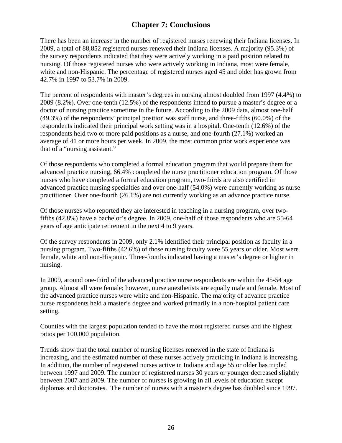## **Chapter 7: Conclusions**

There has been an increase in the number of registered nurses renewing their Indiana licenses. In 2009, a total of 88,852 registered nurses renewed their Indiana licenses. A majority (95.3%) of the survey respondents indicated that they were actively working in a paid position related to nursing. Of those registered nurses who were actively working in Indiana, most were female, white and non-Hispanic. The percentage of registered nurses aged 45 and older has grown from 42.7% in 1997 to 53.7% in 2009.

The percent of respondents with master's degrees in nursing almost doubled from 1997 (4.4%) to 2009 (8.2%). Over one-tenth (12.5%) of the respondents intend to pursue a master's degree or a doctor of nursing practice sometime in the future. According to the 2009 data, almost one-half (49.3%) of the respondents' principal position was staff nurse, and three-fifths (60.0%) of the respondents indicated their principal work setting was in a hospital. One-tenth (12.6%) of the respondents held two or more paid positions as a nurse, and one-fourth (27.1%) worked an average of 41 or more hours per week. In 2009, the most common prior work experience was that of a "nursing assistant."

Of those respondents who completed a formal education program that would prepare them for advanced practice nursing, 66.4% completed the nurse practitioner education program. Of those nurses who have completed a formal education program, two-thirds are also certified in advanced practice nursing specialties and over one-half (54.0%) were currently working as nurse practitioner. Over one-fourth (26.1%) are not currently working as an advance practice nurse.

Of those nurses who reported they are interested in teaching in a nursing program, over twofifths (42.8%) have a bachelor's degree. In 2009, one-half of those respondents who are 55-64 years of age anticipate retirement in the next 4 to 9 years.

Of the survey respondents in 2009, only 2.1% identified their principal position as faculty in a nursing program. Two-fifths (42.6%) of those nursing faculty were 55 years or older. Most were female, white and non-Hispanic. Three-fourths indicated having a master's degree or higher in nursing.

In 2009, around one-third of the advanced practice nurse respondents are within the 45-54 age group. Almost all were female; however, nurse anesthetists are equally male and female. Most of the advanced practice nurses were white and non-Hispanic. The majority of advance practice nurse respondents held a master's degree and worked primarily in a non-hospital patient care setting.

Counties with the largest population tended to have the most registered nurses and the highest ratios per 100,000 population.

Trends show that the total number of nursing licenses renewed in the state of Indiana is increasing, and the estimated number of these nurses actively practicing in Indiana is increasing. In addition, the number of registered nurses active in Indiana and age 55 or older has tripled between 1997 and 2009. The number of registered nurses 30 years or younger decreased slightly between 2007 and 2009. The number of nurses is growing in all levels of education except diplomas and doctorates. The number of nurses with a master's degree has doubled since 1997.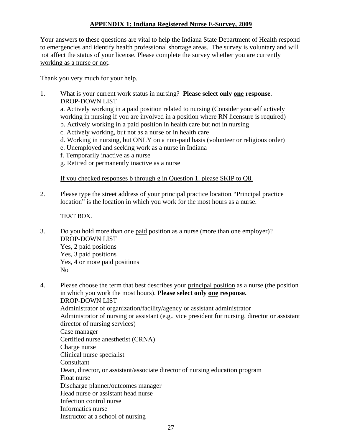#### **APPENDIX 1: Indiana Registered Nurse E-Survey, 2009**

Your answers to these questions are vital to help the Indiana State Department of Health respond to emergencies and identify health professional shortage areas. The survey is voluntary and will not affect the status of your license. Please complete the survey whether you are currently working as a nurse or not.

Thank you very much for your help.

1. What is your current work status in nursing? **Please select only one response**. DROP-DOWN LIST

a. Actively working in a paid position related to nursing (Consider yourself actively working in nursing if you are involved in a position where RN licensure is required) b. Actively working in a paid position in health care but not in nursing

- 
- c. Actively working, but not as a nurse or in health care
- d. Working in nursing, but ONLY on a non-paid basis (volunteer or religious order)
- e. Unemployed and seeking work as a nurse in Indiana
- f. Temporarily inactive as a nurse
- g. Retired or permanently inactive as a nurse

If you checked responses b through g in Question 1, please SKIP to Q8.

2. Please type the street address of your principal practice location. "Principal practice location" is the location in which you work for the most hours as a nurse.

TEXT BOX.

3. Do you hold more than one paid position as a nurse (more than one employer)? DROP-DOWN LIST Yes, 2 paid positions Yes, 3 paid positions Yes, 4 or more paid positions No

4. Please choose the term that best describes your principal position as a nurse (the position in which you work the most hours). **Please select only one response.** DROP-DOWN LIST Administrator of organization/facility/agency or assistant administrator Administrator of nursing or assistant (e.g., vice president for nursing, director or assistant director of nursing services) Case manager Certified nurse anesthetist (CRNA) Charge nurse Clinical nurse specialist Consultant Dean, director, or assistant/associate director of nursing education program Float nurse Discharge planner/outcomes manager Head nurse or assistant head nurse Infection control nurse Informatics nurse Instructor at a school of nursing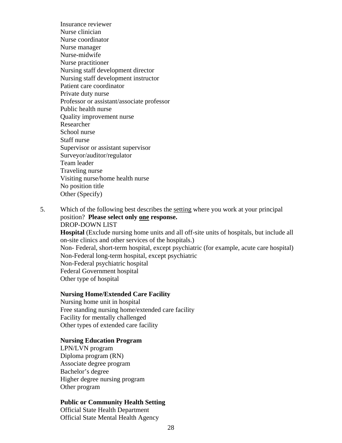Insurance reviewer Nurse clinician Nurse coordinator Nurse manager Nurse-midwife Nurse practitioner Nursing staff development director Nursing staff development instructor Patient care coordinator Private duty nurse Professor or assistant/associate professor Public health nurse Quality improvement nurse Researcher School nurse Staff nurse Supervisor or assistant supervisor Surveyor/auditor/regulator Team leader Traveling nurse Visiting nurse/home health nurse No position title Other (Specify)

5. Which of the following best describes the setting where you work at your principal position? **Please select only one response.** DROP-DOWN LIST **Hospital** (Exclude nursing home units and all off-site units of hospitals, but include all on-site clinics and other services of the hospitals.) Non- Federal, short-term hospital, except psychiatric (for example, acute care hospital) Non-Federal long-term hospital, except psychiatric Non-Federal psychiatric hospital Federal Government hospital Other type of hospital

#### **Nursing Home/Extended Care Facility**

Nursing home unit in hospital Free standing nursing home/extended care facility Facility for mentally challenged Other types of extended care facility

#### **Nursing Education Program**

LPN/LVN program Diploma program (RN) Associate degree program Bachelor's degree Higher degree nursing program Other program

#### **Public or Community Health Setting**

Official State Health Department Official State Mental Health Agency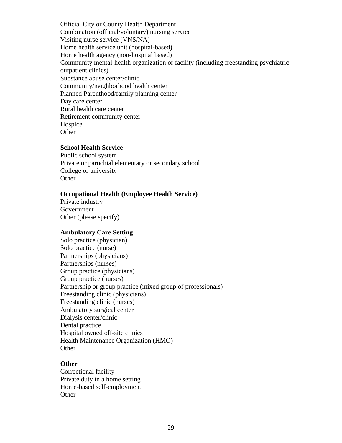Official City or County Health Department Combination (official/voluntary) nursing service Visiting nurse service (VNS/NA) Home health service unit (hospital-based) Home health agency (non-hospital based) Community mental-health organization or facility (including freestanding psychiatric outpatient clinics) Substance abuse center/clinic Community/neighborhood health center Planned Parenthood/family planning center Day care center Rural health care center Retirement community center Hospice **Other** 

#### **School Health Service**

Public school system Private or parochial elementary or secondary school College or university **Other** 

#### **Occupational Health (Employee Health Service)**

Private industry Government Other (please specify)

#### **Ambulatory Care Setting**

Solo practice (physician) Solo practice (nurse) Partnerships (physicians) Partnerships (nurses) Group practice (physicians) Group practice (nurses) Partnership or group practice (mixed group of professionals) Freestanding clinic (physicians) Freestanding clinic (nurses) Ambulatory surgical center Dialysis center/clinic Dental practice Hospital owned off-site clinics Health Maintenance Organization (HMO) **Other** 

#### **Other**

Correctional facility Private duty in a home setting Home-based self-employment **Other**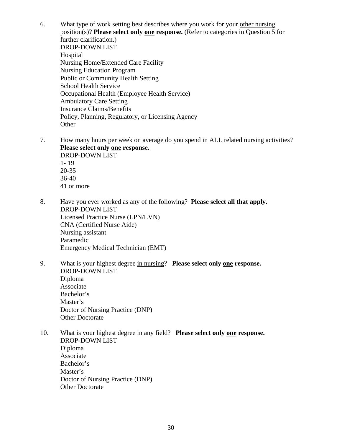6. What type of work setting best describes where you work for your other nursing position(s)? **Please select only one response.** (Refer to categories in Question 5 for further clarification.) DROP-DOWN LIST Hospital Nursing Home/Extended Care Facility Nursing Education Program Public or Community Health Setting School Health Service Occupational Health (Employee Health Service) Ambulatory Care Setting Insurance Claims/Benefits Policy, Planning, Regulatory, or Licensing Agency **Other** 

7. How many hours per week on average do you spend in ALL related nursing activities? **Please select only one response.** DROP-DOWN LIST

1- 19 20-35 36-40 41 or more

- 8. Have you ever worked as any of the following? **Please select all that apply.**  DROP-DOWN LIST Licensed Practice Nurse (LPN/LVN) CNA (Certified Nurse Aide) Nursing assistant Paramedic Emergency Medical Technician (EMT)
- 9. What is your highest degree in nursing? **Please select only one response.**  DROP-DOWN LIST Diploma Associate Bachelor's Master's Doctor of Nursing Practice (DNP) Other Doctorate
- 10. What is your highest degree in any field? **Please select only one response.**  DROP-DOWN LIST Diploma Associate Bachelor's Master's Doctor of Nursing Practice (DNP) Other Doctorate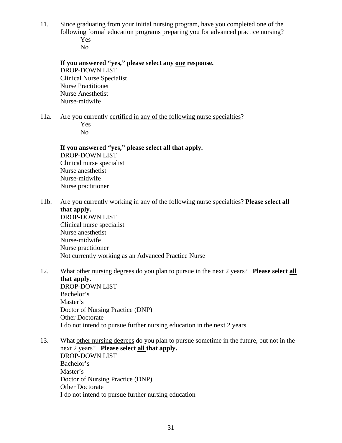11. Since graduating from your initial nursing program, have you completed one of the following formal education programs preparing you for advanced practice nursing? Yes

No

**If you answered "yes," please select any one response.**  DROP-DOWN LIST Clinical Nurse Specialist Nurse Practitioner Nurse Anesthetist Nurse-midwife

11a. Are you currently certified in any of the following nurse specialties? Yes No

**If you answered "yes," please select all that apply.**  DROP-DOWN LIST Clinical nurse specialist Nurse anesthetist Nurse-midwife Nurse practitioner

- 11b. Are you currently working in any of the following nurse specialties? **Please select all that apply.**  DROP-DOWN LIST Clinical nurse specialist Nurse anesthetist Nurse-midwife Nurse practitioner Not currently working as an Advanced Practice Nurse
- 12. What other nursing degrees do you plan to pursue in the next 2 years? **Please select all that apply.**  DROP-DOWN LIST Bachelor's Master's Doctor of Nursing Practice (DNP) Other Doctorate
- 13. What other nursing degrees do you plan to pursue sometime in the future, but not in the next 2 years? **Please select all that apply.**  DROP-DOWN LIST Bachelor's Master's Doctor of Nursing Practice (DNP) Other Doctorate I do not intend to pursue further nursing education

I do not intend to pursue further nursing education in the next 2 years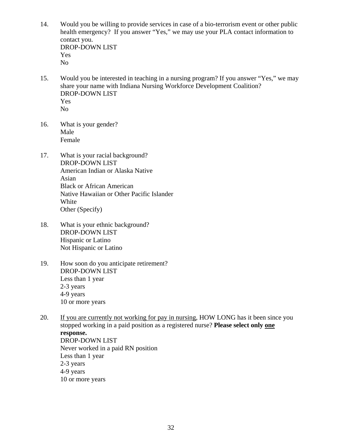- 14. Would you be willing to provide services in case of a bio-terrorism event or other public health emergency? If you answer "Yes," we may use your PLA contact information to contact you. DROP-DOWN LIST Yes No
- 15. Would you be interested in teaching in a nursing program? If you answer "Yes," we may share your name with Indiana Nursing Workforce Development Coalition? DROP-DOWN LIST Yes No
- 16. What is your gender? Male Female
- 17. What is your racial background? DROP-DOWN LIST American Indian or Alaska Native Asian Black or African American Native Hawaiian or Other Pacific Islander White Other (Specify)
- 18. What is your ethnic background? DROP-DOWN LIST Hispanic or Latino Not Hispanic or Latino
- 19. How soon do you anticipate retirement? DROP-DOWN LIST Less than 1 year 2-3 years 4-9 years 10 or more years
- 20. If you are currently not working for pay in nursing, HOW LONG has it been since you stopped working in a paid position as a registered nurse? **Please select only one response.** DROP-DOWN LIST Never worked in a paid RN position Less than 1 year 2-3 years 4-9 years 10 or more years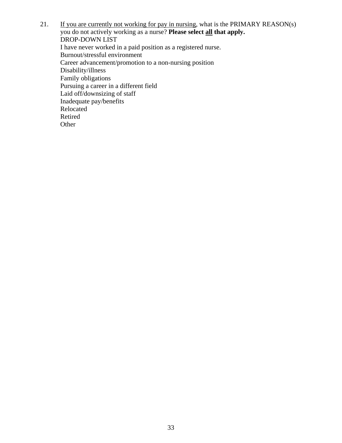21. If you are currently not working for pay in nursing, what is the PRIMARY REASON(s) you do not actively working as a nurse? **Please select all that apply.**  DROP-DOWN LIST I have never worked in a paid position as a registered nurse. Burnout/stressful environment Career advancement/promotion to a non-nursing position Disability/illness Family obligations Pursuing a career in a different field Laid off/downsizing of staff Inadequate pay/benefits Relocated Retired Other